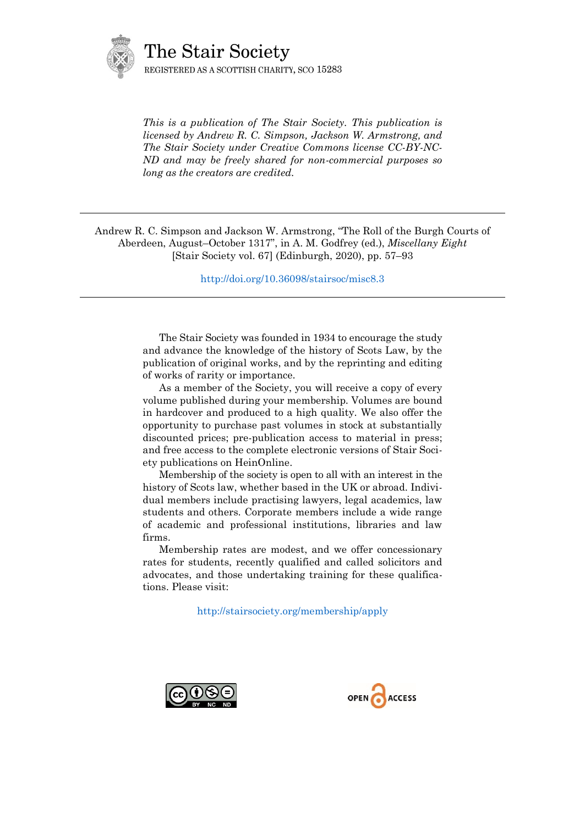

*This is a publication of The Stair Society. This publication is licensed by Andrew R. C. Simpson, Jackson W. Armstrong, and The Stair Society under Creative Commons license CC-BY-NC-ND and may be freely shared for non-commercial purposes so long as the creators are credited.* 

Andrew R. C. Simpson and Jackson W. Armstrong, "The Roll of the Burgh Courts of Aberdeen, August–October 1317", in A. M. Godfrey (ed.), *Miscellany Eight* [Stair Society vol. 67] (Edinburgh, 2020), pp. 57–93

<http://doi.org/10.36098/stairsoc/misc8.3>

The Stair Society was founded in 1934 to encourage the study and advance the knowledge of the history of Scots Law, by the publication of original works, and by the reprinting and editing of works of rarity or importance.

As a member of the Society, you will receive a copy of every volume published during your membership. Volumes are bound in hardcover and produced to a high quality. We also offer the opportunity to purchase past volumes in stock at substantially discounted prices; pre-publication access to material in press; and free access to the complete electronic versions of Stair Society publications on HeinOnline.

Membership of the society is open to all with an interest in the history of Scots law, whether based in the UK or abroad. Individual members include practising lawyers, legal academics, law students and others. Corporate members include a wide range of academic and professional institutions, libraries and law firms.

Membership rates are modest, and we offer concessionary rates for students, recently qualified and called solicitors and advocates, and those undertaking training for these qualifications. Please visit:

<http://stairsociety.org/membership/apply>



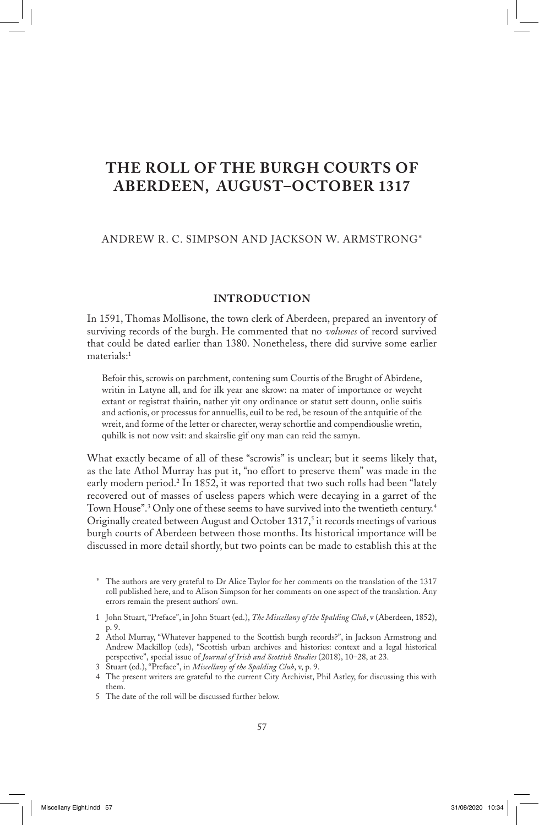# **THE ROLL OF THE BURGH COURTS OF ABERDEEN, AUGUST–OCTOBER 1317**

## ANDREW R. C. SIMPSON AND JACKSON W. ARMSTRONG\*

## **INTRODUCTION**

In 1591, Thomas Mollisone, the town clerk of Aberdeen, prepared an inventory of surviving records of the burgh. He commented that no *volumes* of record survived that could be dated earlier than 1380. Nonetheless, there did survive some earlier materials:1

Befoir this, scrowis on parchment, contening sum Courtis of the Brught of Abirdene, writin in Latyne all, and for ilk year ane skrow: na mater of importance or weycht extant or registrat thairin, nather yit ony ordinance or statut sett dounn, onlie suitis and actionis, or processus for annuellis, euil to be red, be resoun of the antquitie of the wreit, and forme of the letter or charecter, weray schortlie and compendiouslie wretin, quhilk is not now vsit: and skairslie gif ony man can reid the samyn.

What exactly became of all of these "scrowis" is unclear; but it seems likely that, as the late Athol Murray has put it, "no effort to preserve them" was made in the early modern period.<sup>2</sup> In 1852, it was reported that two such rolls had been "lately recovered out of masses of useless papers which were decaying in a garret of the Town House".3 Only one of these seems to have survived into the twentieth century.4 Originally created between August and October 1317,<sup>5</sup> it records meetings of various burgh courts of Aberdeen between those months. Its historical importance will be discussed in more detail shortly, but two points can be made to establish this at the

- 1 John Stuart, "Preface", in John Stuart (ed.), *The Miscellany of the Spalding Club*, v (Aberdeen, 1852), p. 9.
- 2 Athol Murray, "Whatever happened to the Scottish burgh records?", in Jackson Armstrong and Andrew Mackillop (eds), "Scottish urban archives and histories: context and a legal historical perspective", special issue of *Journal of Irish and Scottish Studies* (2018), 10–28, at 23.
- 3 Stuart (ed.), "Preface", in *Miscellany of the Spalding Club*, v, p. 9.
- 4 The present writers are grateful to the current City Archivist, Phil Astley, for discussing this with them.
- 5 The date of the roll will be discussed further below.

 \* The authors are very grateful to Dr Alice Taylor for her comments on the translation of the 1317 roll published here, and to Alison Simpson for her comments on one aspect of the translation. Any errors remain the present authors' own.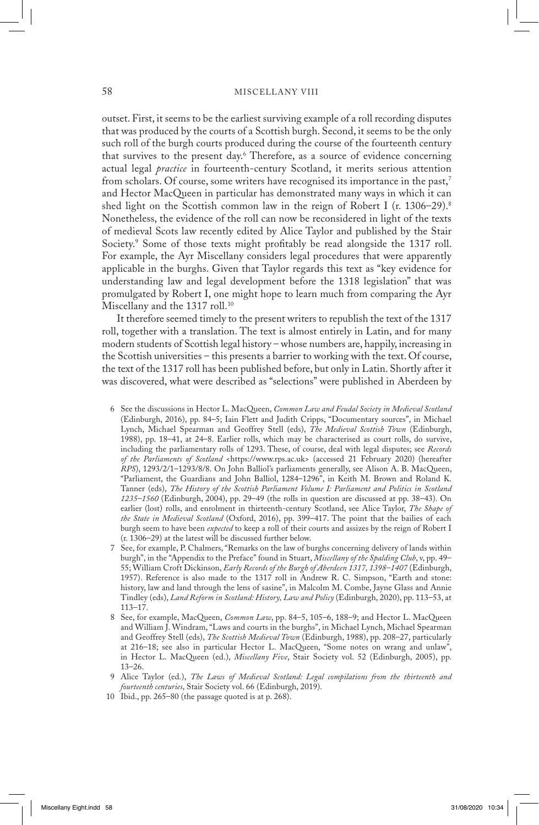outset. First, it seems to be the earliest surviving example of a roll recording disputes that was produced by the courts of a Scottish burgh. Second, it seems to be the only such roll of the burgh courts produced during the course of the fourteenth century that survives to the present day.6 Therefore, as a source of evidence concerning actual legal *practice* in fourteenth-century Scotland, it merits serious attention from scholars. Of course, some writers have recognised its importance in the past,<sup>7</sup> and Hector MacQueen in particular has demonstrated many ways in which it can shed light on the Scottish common law in the reign of Robert I (r. 1306–29).<sup>8</sup> Nonetheless, the evidence of the roll can now be reconsidered in light of the texts of medieval Scots law recently edited by Alice Taylor and published by the Stair Society.9 Some of those texts might profitably be read alongside the 1317 roll. For example, the Ayr Miscellany considers legal procedures that were apparently applicable in the burghs. Given that Taylor regards this text as "key evidence for understanding law and legal development before the 1318 legislation" that was promulgated by Robert I, one might hope to learn much from comparing the Ayr Miscellany and the 1317 roll.<sup>10</sup>

 It therefore seemed timely to the present writers to republish the text of the 1317 roll, together with a translation. The text is almost entirely in Latin, and for many modern students of Scottish legal history – whose numbers are, happily, increasing in the Scottish universities – this presents a barrier to working with the text. Of course, the text of the 1317 roll has been published before, but only in Latin. Shortly after it was discovered, what were described as "selections" were published in Aberdeen by

- 6 See the discussions in Hector L. MacQueen, *Common Law and Feudal Society in Medieval Scotland* (Edinburgh, 2016), pp. 84–5; Iain Flett and Judith Cripps, "Documentary sources", in Michael Lynch, Michael Spearman and Geoffrey Stell (eds), *The Medieval Scottish Town* (Edinburgh, 1988), pp. 18–41, at 24–8. Earlier rolls, which may be characterised as court rolls, do survive, including the parliamentary rolls of 1293. These, of course, deal with legal disputes; see *Records of the Parliaments of Scotland* <https://www.rps.ac.uk> (accessed 21 February 2020) (hereafter *RPS*), 1293/2/1–1293/8/8. On John Balliol's parliaments generally, see Alison A. B. MacQueen, "Parliament, the Guardians and John Balliol, 1284–1296", in Keith M. Brown and Roland K. Tanner (eds), *The History of the Scottish Parliament Volume I: Parliament and Politics in Scotland 1235–1560* (Edinburgh, 2004), pp. 29–49 (the rolls in question are discussed at pp. 38–43). On earlier (lost) rolls, and enrolment in thirteenth-century Scotland, see Alice Taylor, *The Shape of the State in Medieval Scotland* (Oxford, 2016), pp. 399–417. The point that the bailies of each burgh seem to have been *expected* to keep a roll of their courts and assizes by the reign of Robert I (r. 1306–29) at the latest will be discussed further below.
- 7 See, for example, P. Chalmers, "Remarks on the law of burghs concerning delivery of lands within burgh", in the "Appendix to the Preface" found in Stuart, *Miscellany of the Spalding Club*, v, pp. 49– 55; William Croft Dickinson, *Early Records of the Burgh of Aberdeen 1317, 1398–1407* (Edinburgh, 1957). Reference is also made to the 1317 roll in Andrew R. C. Simpson, "Earth and stone: history, law and land through the lens of sasine", in Malcolm M. Combe, Jayne Glass and Annie Tindley (eds), *Land Reform in Scotland: History, Law and Policy* (Edinburgh, 2020), pp. 113–53, at 113–17.
- 8 See, for example, MacQueen, *Common Law*, pp. 84–5, 105–6, 188–9; and Hector L. MacQueen and William J. Windram, "Laws and courts in the burghs", in Michael Lynch, Michael Spearman and Geoffrey Stell (eds), *The Scottish Medieval Town* (Edinburgh, 1988), pp. 208–27, particularly at 216–18; see also in particular Hector L. MacQueen, "Some notes on wrang and unlaw", in Hector L. MacQueen (ed.), *Miscellany Five*, Stair Society vol. 52 (Edinburgh, 2005), pp. 13–26.
- 9 Alice Taylor (ed.), *The Laws of Medieval Scotland: Legal compilations from the thirteenth and fourteenth centuries*, Stair Society vol. 66 (Edinburgh, 2019).
- 10 Ibid., pp. 265–80 (the passage quoted is at p. 268).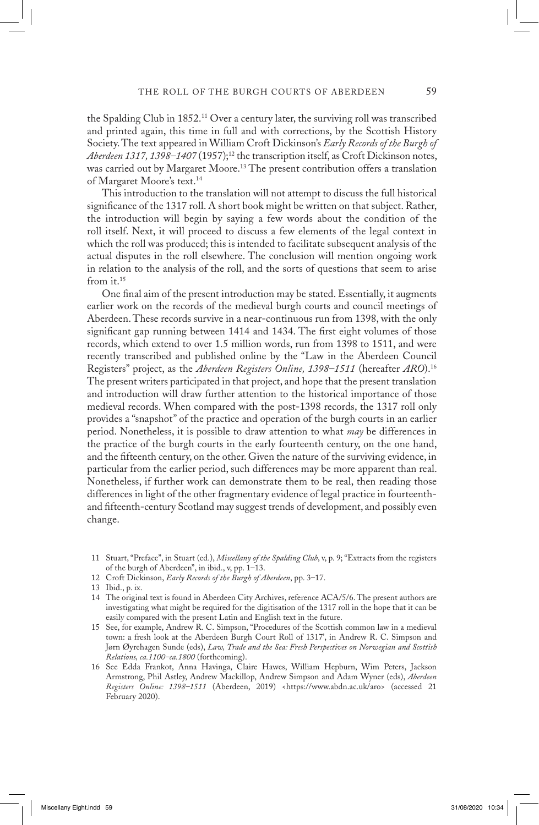the Spalding Club in 1852.11 Over a century later, the surviving roll was transcribed and printed again, this time in full and with corrections, by the Scottish History Society. The text appeared in William Croft Dickinson's *Early Records of the Burgh of*  Aberdeen 1317, 1398–1407 (1957);<sup>12</sup> the transcription itself, as Croft Dickinson notes, was carried out by Margaret Moore.13 The present contribution offers a translation of Margaret Moore's text.14

 This introduction to the translation will not attempt to discuss the full historical significance of the 1317 roll. A short book might be written on that subject. Rather, the introduction will begin by saying a few words about the condition of the roll itself. Next, it will proceed to discuss a few elements of the legal context in which the roll was produced; this is intended to facilitate subsequent analysis of the actual disputes in the roll elsewhere. The conclusion will mention ongoing work in relation to the analysis of the roll, and the sorts of questions that seem to arise from it.15

 One final aim of the present introduction may be stated. Essentially, it augments earlier work on the records of the medieval burgh courts and council meetings of Aberdeen. These records survive in a near-continuous run from 1398, with the only significant gap running between 1414 and 1434. The first eight volumes of those records, which extend to over 1.5 million words, run from 1398 to 1511, and were recently transcribed and published online by the "Law in the Aberdeen Council Registers" project, as the *Aberdeen Registers Online, 1398–1511* (hereafter *ARO*).16 The present writers participated in that project, and hope that the present translation and introduction will draw further attention to the historical importance of those medieval records. When compared with the post-1398 records, the 1317 roll only provides a "snapshot" of the practice and operation of the burgh courts in an earlier period. Nonetheless, it is possible to draw attention to what *may* be differences in the practice of the burgh courts in the early fourteenth century, on the one hand, and the fifteenth century, on the other. Given the nature of the surviving evidence, in particular from the earlier period, such differences may be more apparent than real. Nonetheless, if further work can demonstrate them to be real, then reading those differences in light of the other fragmentary evidence of legal practice in fourteenthand fifteenth-century Scotland may suggest trends of development, and possibly even change.

- 15 See, for example, Andrew R. C. Simpson, "Procedures of the Scottish common law in a medieval town: a fresh look at the Aberdeen Burgh Court Roll of 1317', in Andrew R. C. Simpson and Jørn Øyrehagen Sunde (eds), *Law, Trade and the Sea: Fresh Perspectives on Norwegian and Scottish Relations, ca.1100–ca.1800* (forthcoming).
- 16 See Edda Frankot, Anna Havinga, Claire Hawes, William Hepburn, Wim Peters, Jackson Armstrong, Phil Astley, Andrew Mackillop, Andrew Simpson and Adam Wyner (eds), *Aberdeen Registers Online: 1398–1511* (Aberdeen, 2019) <https://www.abdn.ac.uk/aro> (accessed 21 February 2020).

<sup>11</sup> Stuart, "Preface", in Stuart (ed.), *Miscellany of the Spalding Club*, v, p. 9; "Extracts from the registers of the burgh of Aberdeen", in ibid., v, pp. 1–13.

<sup>12</sup> Croft Dickinson, *Early Records of the Burgh of Aberdeen*, pp. 3–17.

<sup>13</sup> Ibid., p. ix.

<sup>14</sup> The original text is found in Aberdeen City Archives, reference ACA/5/6. The present authors are investigating what might be required for the digitisation of the 1317 roll in the hope that it can be easily compared with the present Latin and English text in the future.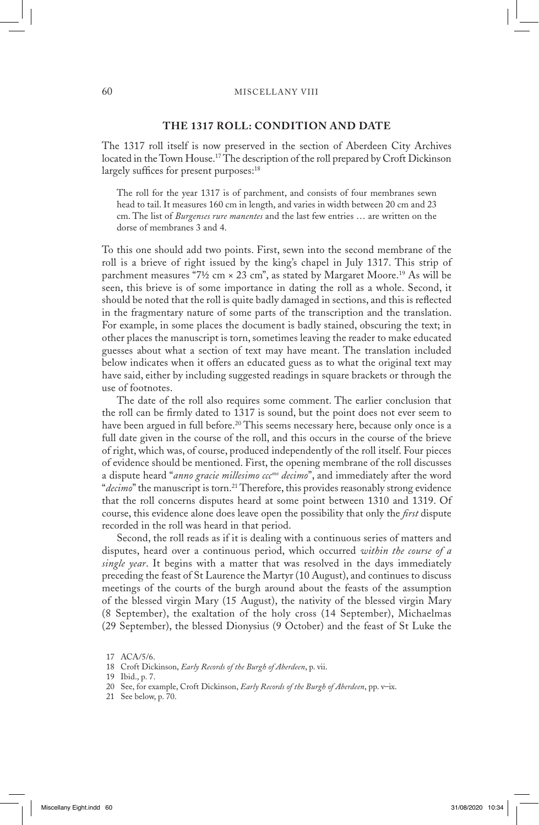## **THE 1317 ROLL: CONDITION AND DATE**

The 1317 roll itself is now preserved in the section of Aberdeen City Archives located in the Town House.<sup>17</sup> The description of the roll prepared by Croft Dickinson largely suffices for present purposes:<sup>18</sup>

The roll for the year 1317 is of parchment, and consists of four membranes sewn head to tail. It measures 160 cm in length, and varies in width between 20 cm and 23 cm. The list of *Burgenses rure manentes* and the last few entries … are written on the dorse of membranes 3 and 4.

To this one should add two points. First, sewn into the second membrane of the roll is a brieve of right issued by the king's chapel in July 1317. This strip of parchment measures "7½ cm  $\times$  23 cm", as stated by Margaret Moore.<sup>19</sup> As will be seen, this brieve is of some importance in dating the roll as a whole. Second, it should be noted that the roll is quite badly damaged in sections, and this is reflected in the fragmentary nature of some parts of the transcription and the translation. For example, in some places the document is badly stained, obscuring the text; in other places the manuscript is torn, sometimes leaving the reader to make educated guesses about what a section of text may have meant. The translation included below indicates when it offers an educated guess as to what the original text may have said, either by including suggested readings in square brackets or through the use of footnotes.

 The date of the roll also requires some comment. The earlier conclusion that the roll can be firmly dated to 1317 is sound, but the point does not ever seem to have been argued in full before.<sup>20</sup> This seems necessary here, because only once is a full date given in the course of the roll, and this occurs in the course of the brieve of right, which was, of course, produced independently of the roll itself. Four pieces of evidence should be mentioned. First, the opening membrane of the roll discusses a dispute heard "*anno gracie millesimo cccmo decimo*", and immediately after the word "decimo" the manuscript is torn.<sup>21</sup> Therefore, this provides reasonably strong evidence that the roll concerns disputes heard at some point between 1310 and 1319. Of course, this evidence alone does leave open the possibility that only the *first* dispute recorded in the roll was heard in that period.

 Second, the roll reads as if it is dealing with a continuous series of matters and disputes, heard over a continuous period, which occurred *within the course of a single year*. It begins with a matter that was resolved in the days immediately preceding the feast of St Laurence the Martyr (10 August), and continues to discuss meetings of the courts of the burgh around about the feasts of the assumption of the blessed virgin Mary (15 August), the nativity of the blessed virgin Mary (8 September), the exaltation of the holy cross (14 September), Michaelmas (29 September), the blessed Dionysius (9 October) and the feast of St Luke the

<sup>17</sup> ACA/5/6.

<sup>18</sup> Croft Dickinson, *Early Records of the Burgh of Aberdeen*, p. vii.

<sup>19</sup> Ibid., p. 7.

<sup>20</sup> See, for example, Croft Dickinson, *Early Records of the Burgh of Aberdeen*, pp. v–ix.

<sup>21</sup> See below, p. 70.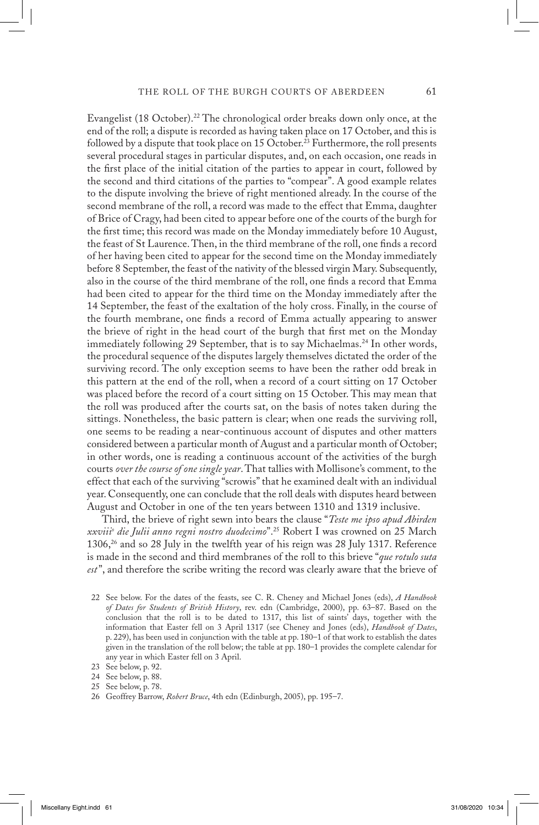Evangelist (18 October).<sup>22</sup> The chronological order breaks down only once, at the end of the roll; a dispute is recorded as having taken place on 17 October, and this is followed by a dispute that took place on 15 October.<sup>23</sup> Furthermore, the roll presents several procedural stages in particular disputes, and, on each occasion, one reads in the first place of the initial citation of the parties to appear in court, followed by the second and third citations of the parties to "compear". A good example relates to the dispute involving the brieve of right mentioned already. In the course of the second membrane of the roll, a record was made to the effect that Emma, daughter of Brice of Cragy, had been cited to appear before one of the courts of the burgh for the first time; this record was made on the Monday immediately before 10 August, the feast of St Laurence. Then, in the third membrane of the roll, one finds a record of her having been cited to appear for the second time on the Monday immediately before 8 September, the feast of the nativity of the blessed virgin Mary. Subsequently, also in the course of the third membrane of the roll, one finds a record that Emma had been cited to appear for the third time on the Monday immediately after the 14 September, the feast of the exaltation of the holy cross. Finally, in the course of the fourth membrane, one finds a record of Emma actually appearing to answer the brieve of right in the head court of the burgh that first met on the Monday immediately following 29 September, that is to say Michaelmas.<sup>24</sup> In other words, the procedural sequence of the disputes largely themselves dictated the order of the surviving record. The only exception seems to have been the rather odd break in this pattern at the end of the roll, when a record of a court sitting on 17 October was placed before the record of a court sitting on 15 October. This may mean that the roll was produced after the courts sat, on the basis of notes taken during the sittings. Nonetheless, the basic pattern is clear; when one reads the surviving roll, one seems to be reading a near-continuous account of disputes and other matters considered between a particular month of August and a particular month of October; in other words, one is reading a continuous account of the activities of the burgh courts *over the course of one single year*. That tallies with Mollisone's comment, to the effect that each of the surviving "scrowis" that he examined dealt with an individual year. Consequently, one can conclude that the roll deals with disputes heard between August and October in one of the ten years between 1310 and 1319 inclusive.

 Third, the brieve of right sewn into bears the clause "*Teste me ipso apud Abirden xxviiio die Julii anno regni nostro duodecimo*".25 Robert I was crowned on 25 March 1306,26 and so 28 July in the twelfth year of his reign was 28 July 1317. Reference is made in the second and third membranes of the roll to this brieve "*que rotulo suta est*", and therefore the scribe writing the record was clearly aware that the brieve of

22 See below. For the dates of the feasts, see C. R. Cheney and Michael Jones (eds), *A Handbook of Dates for Students of British History*, rev. edn (Cambridge, 2000), pp. 63–87. Based on the conclusion that the roll is to be dated to 1317, this list of saints' days, together with the information that Easter fell on 3 April 1317 (see Cheney and Jones (eds), *Handbook of Dates*, p. 229), has been used in conjunction with the table at pp. 180–1 of that work to establish the dates given in the translation of the roll below; the table at pp. 180–1 provides the complete calendar for any year in which Easter fell on 3 April.

- 24 See below, p. 88.
- 25 See below, p. 78.

<sup>23</sup> See below, p. 92.

<sup>26</sup> Geoffrey Barrow, *Robert Bruce*, 4th edn (Edinburgh, 2005), pp. 195–7.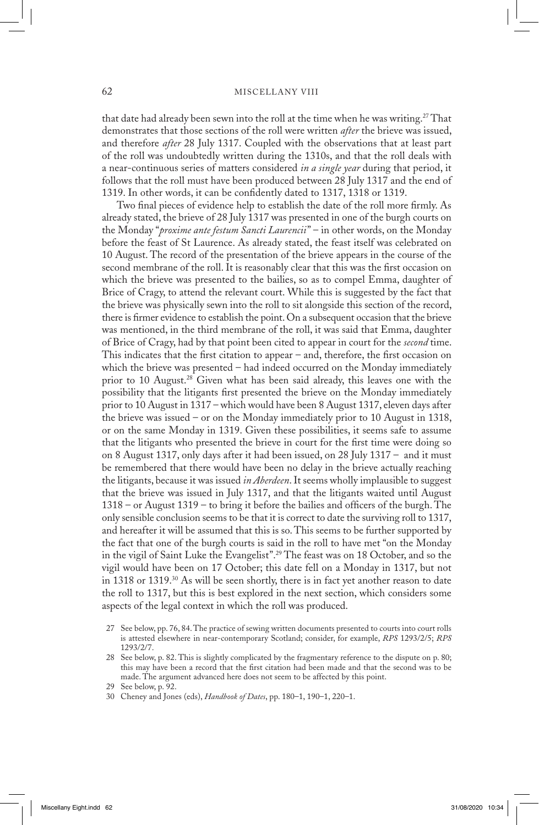that date had already been sewn into the roll at the time when he was writing.27 That demonstrates that those sections of the roll were written *after* the brieve was issued, and therefore *after* 28 July 1317. Coupled with the observations that at least part of the roll was undoubtedly written during the 1310s, and that the roll deals with a near-continuous series of matters considered *in a single year* during that period, it follows that the roll must have been produced between 28 July 1317 and the end of 1319. In other words, it can be confidently dated to 1317, 1318 or 1319.

 Two final pieces of evidence help to establish the date of the roll more firmly. As already stated, the brieve of 28 July 1317 was presented in one of the burgh courts on the Monday "*proxime ante festum Sancti Laurencii*" – in other words, on the Monday before the feast of St Laurence. As already stated, the feast itself was celebrated on 10 August. The record of the presentation of the brieve appears in the course of the second membrane of the roll. It is reasonably clear that this was the first occasion on which the brieve was presented to the bailies, so as to compel Emma, daughter of Brice of Cragy, to attend the relevant court. While this is suggested by the fact that the brieve was physically sewn into the roll to sit alongside this section of the record, there is firmer evidence to establish the point. On a subsequent occasion that the brieve was mentioned, in the third membrane of the roll, it was said that Emma, daughter of Brice of Cragy, had by that point been cited to appear in court for the *second* time. This indicates that the first citation to appear – and, therefore, the first occasion on which the brieve was presented – had indeed occurred on the Monday immediately prior to 10 August.<sup>28</sup> Given what has been said already, this leaves one with the possibility that the litigants first presented the brieve on the Monday immediately prior to 10 August in 1317 – which would have been 8 August 1317, eleven days after the brieve was issued – or on the Monday immediately prior to 10 August in 1318, or on the same Monday in 1319. Given these possibilities, it seems safe to assume that the litigants who presented the brieve in court for the first time were doing so on 8 August 1317, only days after it had been issued, on 28 July 1317 – and it must be remembered that there would have been no delay in the brieve actually reaching the litigants, because it was issued *in Aberdeen*. It seems wholly implausible to suggest that the brieve was issued in July 1317, and that the litigants waited until August 1318 – or August 1319 – to bring it before the bailies and officers of the burgh. The only sensible conclusion seems to be that it is correct to date the surviving roll to 1317, and hereafter it will be assumed that this is so. This seems to be further supported by the fact that one of the burgh courts is said in the roll to have met "on the Monday in the vigil of Saint Luke the Evangelist".29 The feast was on 18 October, and so the vigil would have been on 17 October; this date fell on a Monday in 1317, but not in 1318 or 1319.<sup>30</sup> As will be seen shortly, there is in fact yet another reason to date the roll to 1317, but this is best explored in the next section, which considers some aspects of the legal context in which the roll was produced.

- 27 See below, pp. 76, 84. The practice of sewing written documents presented to courts into court rolls is attested elsewhere in near-contemporary Scotland; consider, for example, *RPS* 1293/2/5; *RPS* 1293/2/7.
- 28 See below, p. 82. This is slightly complicated by the fragmentary reference to the dispute on p. 80; this may have been a record that the first citation had been made and that the second was to be made. The argument advanced here does not seem to be affected by this point.

30 Cheney and Jones (eds), *Handbook of Dates*, pp. 180–1, 190–1, 220–1.

<sup>29</sup> See below, p. 92.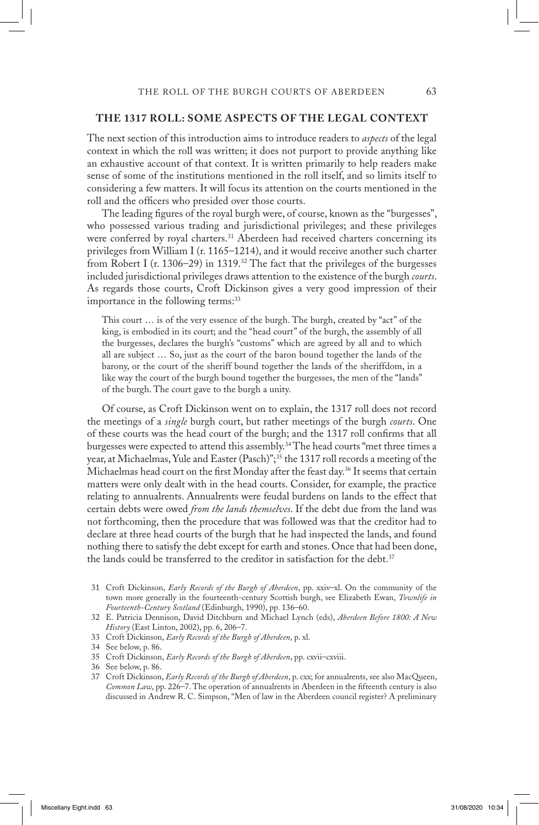## **THE 1317 ROLL: SOME ASPECTS OF THE LEGAL CONTEXT**

The next section of this introduction aims to introduce readers to *aspects* of the legal context in which the roll was written; it does not purport to provide anything like an exhaustive account of that context. It is written primarily to help readers make sense of some of the institutions mentioned in the roll itself, and so limits itself to considering a few matters. It will focus its attention on the courts mentioned in the roll and the officers who presided over those courts.

 The leading figures of the royal burgh were, of course, known as the "burgesses", who possessed various trading and jurisdictional privileges; and these privileges were conferred by royal charters.<sup>31</sup> Aberdeen had received charters concerning its privileges from William I (r. 1165–1214), and it would receive another such charter from Robert I (r. 1306–29) in 1319.<sup>32</sup> The fact that the privileges of the burgesses included jurisdictional privileges draws attention to the existence of the burgh *courts*. As regards those courts, Croft Dickinson gives a very good impression of their importance in the following terms:<sup>33</sup>

This court … is of the very essence of the burgh. The burgh, created by "act" of the king, is embodied in its court; and the "head court" of the burgh, the assembly of all the burgesses, declares the burgh's "customs" which are agreed by all and to which all are subject … So, just as the court of the baron bound together the lands of the barony, or the court of the sheriff bound together the lands of the sheriffdom, in a like way the court of the burgh bound together the burgesses, the men of the "lands" of the burgh. The court gave to the burgh a unity.

 Of course, as Croft Dickinson went on to explain, the 1317 roll does not record the meetings of a *single* burgh court, but rather meetings of the burgh *courts*. One of these courts was the head court of the burgh; and the 1317 roll confirms that all burgesses were expected to attend this assembly.34 The head courts "met three times a year, at Michaelmas, Yule and Easter (Pasch)";<sup>35</sup> the 1317 roll records a meeting of the Michaelmas head court on the first Monday after the feast day.<sup>36</sup> It seems that certain matters were only dealt with in the head courts. Consider, for example, the practice relating to annualrents. Annualrents were feudal burdens on lands to the effect that certain debts were owed *from the lands themselves*. If the debt due from the land was not forthcoming, then the procedure that was followed was that the creditor had to declare at three head courts of the burgh that he had inspected the lands, and found nothing there to satisfy the debt except for earth and stones. Once that had been done, the lands could be transferred to the creditor in satisfaction for the debt. $37$ 

- 31 Croft Dickinson, *Early Records of the Burgh of Aberdeen*, pp. xxiv–xl. On the community of the town more generally in the fourteenth-century Scottish burgh, see Elizabeth Ewan, *Townlife in Fourteenth-Century Scotland* (Edinburgh, 1990), pp. 136–60.
- 32 E. Patricia Dennison, David Ditchburn and Michael Lynch (eds), *Aberdeen Before 1800: A New History* (East Linton, 2002), pp. 6, 206–7.
- 33 Croft Dickinson, *Early Records of the Burgh of Aberdeen*, p. xl.

35 Croft Dickinson, *Early Records of the Burgh of Aberdeen*, pp. cxvii–cxviii.

37 Croft Dickinson, *Early Records of the Burgh of Aberdeen*, p. cxx; for annualrents, see also MacQueen, *Common Law*, pp. 226–7. The operation of annualrents in Aberdeen in the fifteenth century is also discussed in Andrew R. C. Simpson, "Men of law in the Aberdeen council register? A preliminary

<sup>34</sup> See below, p. 86.

<sup>36</sup> See below, p. 86.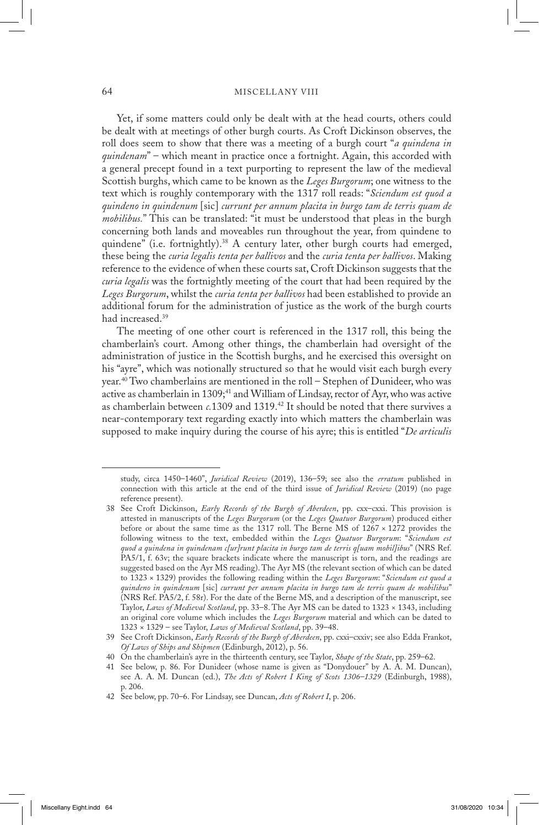#### 64 MISCELLANY VIII

 Yet, if some matters could only be dealt with at the head courts, others could be dealt with at meetings of other burgh courts. As Croft Dickinson observes, the roll does seem to show that there was a meeting of a burgh court "*a quindena in quindenam*" – which meant in practice once a fortnight. Again, this accorded with a general precept found in a text purporting to represent the law of the medieval Scottish burghs, which came to be known as the *Leges Burgorum*; one witness to the text which is roughly contemporary with the 1317 roll reads: "*Sciendum est quod a quindeno in quindenum* [sic] *currunt per annum placita in burgo tam de terris quam de mobilibus.*" This can be translated: "it must be understood that pleas in the burgh concerning both lands and moveables run throughout the year, from quindene to quindene" (i.e. fortnightly).<sup>38</sup> A century later, other burgh courts had emerged, these being the *curia legalis tenta per ballivos* and the *curia tenta per ballivos*. Making reference to the evidence of when these courts sat, Croft Dickinson suggests that the *curia legalis* was the fortnightly meeting of the court that had been required by the *Leges Burgorum*, whilst the *curia tenta per ballivos* had been established to provide an additional forum for the administration of justice as the work of the burgh courts had increased.39

 The meeting of one other court is referenced in the 1317 roll, this being the chamberlain's court. Among other things, the chamberlain had oversight of the administration of justice in the Scottish burghs, and he exercised this oversight on his "ayre", which was notionally structured so that he would visit each burgh every year.40 Two chamberlains are mentioned in the roll – Stephen of Dunideer, who was active as chamberlain in 1309;<sup>41</sup> and William of Lindsay, rector of Ayr, who was active as chamberlain between *c.*1309 and 1319.42 It should be noted that there survives a near-contemporary text regarding exactly into which matters the chamberlain was supposed to make inquiry during the course of his ayre; this is entitled "*De articulis* 

study, circa 1450–1460", *Juridical Review* (2019), 136–59; see also the *erratum* published in connection with this article at the end of the third issue of *Juridical Review* (2019) (no page reference present).

<sup>38</sup> See Croft Dickinson, *Early Records of the Burgh of Aberdeen*, pp. cxx–cxxi. This provision is attested in manuscripts of the *Leges Burgorum* (or the *Leges Quatuor Burgorum*) produced either before or about the same time as the 1317 roll. The Berne MS of 1267 × 1272 provides the following witness to the text, embedded within the *Leges Quatuor Burgorum*: "*Sciendum est quod a quindena in quindenam c[ur]runt placita in burgo tam de terris q[uam mobil]ibus*" (NRS Ref. PA5/1, f. 63v; the square brackets indicate where the manuscript is torn, and the readings are suggested based on the Ayr MS reading). The Ayr MS (the relevant section of which can be dated to 1323 × 1329) provides the following reading within the *Leges Burgorum*: "*Sciendum est quod a quindeno in quindenum* [sic] *currunt per annum placita in burgo tam de terris quam de mobilibus*" (NRS Ref. PA5/2, f. 58r). For the date of the Berne MS, and a description of the manuscript, see Taylor, *Laws of Medieval Scotland*, pp. 33–8. The Ayr MS can be dated to 1323 × 1343, including an original core volume which includes the *Leges Burgorum* material and which can be dated to 1323 × 1329 – see Taylor, *Laws of Medieval Scotland*, pp. 39–48.

<sup>39</sup> See Croft Dickinson, *Early Records of the Burgh of Aberdeen*, pp. cxxi–cxxiv; see also Edda Frankot, *Of Laws of Ships and Shipmen* (Edinburgh, 2012), p. 56.

<sup>40</sup> On the chamberlain's ayre in the thirteenth century, see Taylor, *Shape of the State*, pp. 259–62.

<sup>41</sup> See below, p. 86. For Dunideer (whose name is given as "Donydouer" by A. A. M. Duncan), see A. A. M. Duncan (ed.), *The Acts of Robert I King of Scots 1306–1329* (Edinburgh, 1988), p. 206.

<sup>42</sup> See below, pp. 70–6. For Lindsay, see Duncan, *Acts of Robert I*, p. 206.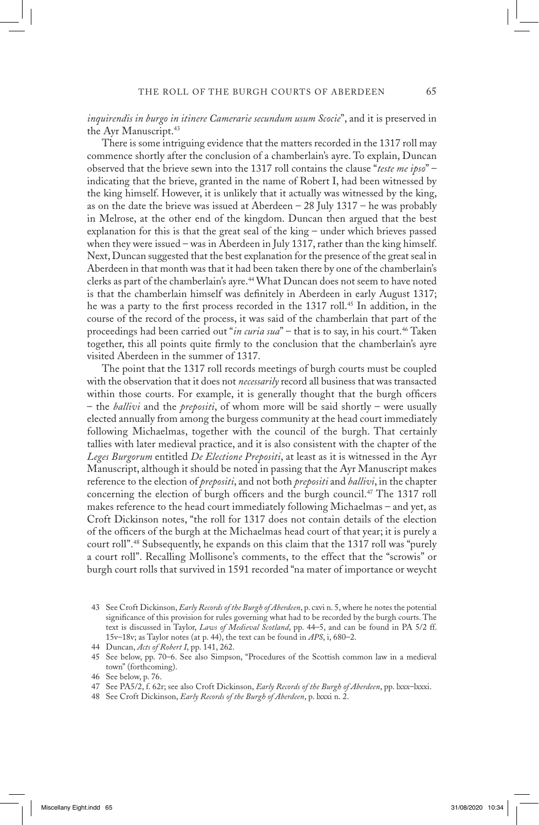*inquirendis in burgo in itinere Camerarie secundum usum Scocie*", and it is preserved in the Ayr Manuscript.<sup>43</sup>

 There is some intriguing evidence that the matters recorded in the 1317 roll may commence shortly after the conclusion of a chamberlain's ayre. To explain, Duncan observed that the brieve sewn into the 1317 roll contains the clause "*teste me ipso*" – indicating that the brieve, granted in the name of Robert I, had been witnessed by the king himself. However, it is unlikely that it actually was witnessed by the king, as on the date the brieve was issued at Aberdeen  $-$  28 July 1317 – he was probably in Melrose, at the other end of the kingdom. Duncan then argued that the best explanation for this is that the great seal of the king – under which brieves passed when they were issued – was in Aberdeen in July 1317, rather than the king himself. Next, Duncan suggested that the best explanation for the presence of the great seal in Aberdeen in that month was that it had been taken there by one of the chamberlain's clerks as part of the chamberlain's ayre.<sup>44</sup> What Duncan does not seem to have noted is that the chamberlain himself was definitely in Aberdeen in early August 1317; he was a party to the first process recorded in the 1317 roll.45 In addition, in the course of the record of the process, it was said of the chamberlain that part of the proceedings had been carried out "*in curia sua*" – that is to say, in his court.<sup>46</sup> Taken together, this all points quite firmly to the conclusion that the chamberlain's ayre visited Aberdeen in the summer of 1317.

 The point that the 1317 roll records meetings of burgh courts must be coupled with the observation that it does not *necessarily* record all business that was transacted within those courts. For example, it is generally thought that the burgh officers – the *ballivi* and the *prepositi*, of whom more will be said shortly – were usually elected annually from among the burgess community at the head court immediately following Michaelmas, together with the council of the burgh. That certainly tallies with later medieval practice, and it is also consistent with the chapter of the *Leges Burgorum* entitled *De Electione Prepositi*, at least as it is witnessed in the Ayr Manuscript, although it should be noted in passing that the Ayr Manuscript makes reference to the election of *prepositi*, and not both *prepositi* and *ballivi*, in the chapter concerning the election of burgh officers and the burgh council.47 The 1317 roll makes reference to the head court immediately following Michaelmas – and yet, as Croft Dickinson notes, "the roll for 1317 does not contain details of the election of the officers of the burgh at the Michaelmas head court of that year; it is purely a court roll".48 Subsequently, he expands on this claim that the 1317 roll was "purely a court roll". Recalling Mollisone's comments, to the effect that the "scrowis" or burgh court rolls that survived in 1591 recorded "na mater of importance or weycht

48 See Croft Dickinson, *Early Records of the Burgh of Aberdeen*, p. lxxxi n. 2.

<sup>43</sup> See Croft Dickinson, *Early Records of the Burgh of Aberdeen*, p. cxvi n. 5, where he notes the potential significance of this provision for rules governing what had to be recorded by the burgh courts. The text is discussed in Taylor, *Laws of Medieval Scotland*, pp. 44–5, and can be found in PA 5/2 ff. 15v–18v; as Taylor notes (at p. 44), the text can be found in *APS*, i, 680–2.

<sup>44</sup> Duncan, *Acts of Robert I*, pp. 141, 262.

<sup>45</sup> See below, pp. 70–6. See also Simpson, "Procedures of the Scottish common law in a medieval town" (forthcoming).

<sup>46</sup> See below, p. 76.

<sup>47</sup> See PA5/2, f. 62r; see also Croft Dickinson, *Early Records of the Burgh of Aberdeen*, pp. lxxx–lxxxi.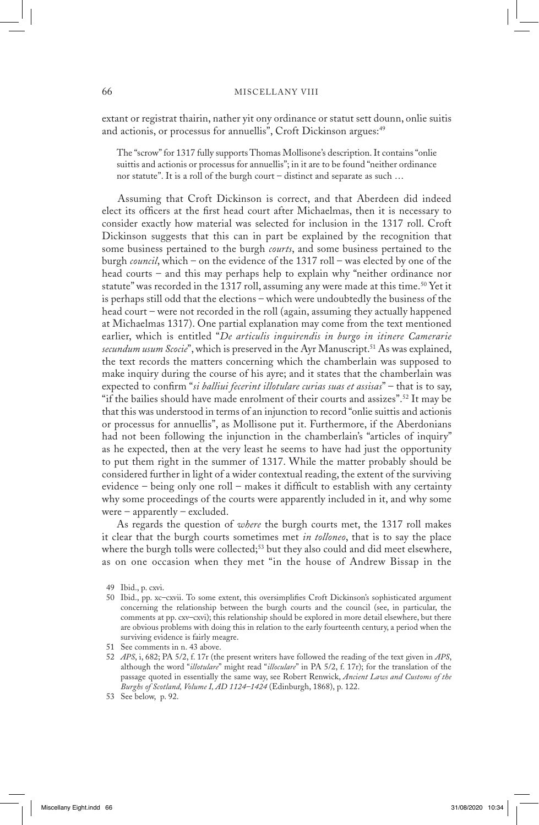extant or registrat thairin, nather yit ony ordinance or statut sett dounn, onlie suitis and actionis, or processus for annuellis", Croft Dickinson argues:<sup>49</sup>

The "scrow" for 1317 fully supports Thomas Mollisone's description. It contains "onlie suittis and actionis or processus for annuellis"; in it are to be found "neither ordinance nor statute". It is a roll of the burgh court – distinct and separate as such …

 Assuming that Croft Dickinson is correct, and that Aberdeen did indeed elect its officers at the first head court after Michaelmas, then it is necessary to consider exactly how material was selected for inclusion in the 1317 roll. Croft Dickinson suggests that this can in part be explained by the recognition that some business pertained to the burgh *courts*, and some business pertained to the burgh *council*, which – on the evidence of the 1317 roll – was elected by one of the head courts – and this may perhaps help to explain why "neither ordinance nor statute" was recorded in the 1317 roll, assuming any were made at this time.<sup>50</sup> Yet it is perhaps still odd that the elections – which were undoubtedly the business of the head court – were not recorded in the roll (again, assuming they actually happened at Michaelmas 1317). One partial explanation may come from the text mentioned earlier, which is entitled "*De articulis inquirendis in burgo in itinere Camerarie*  secundum usum Scocie", which is preserved in the Ayr Manuscript.<sup>51</sup> As was explained, the text records the matters concerning which the chamberlain was supposed to make inquiry during the course of his ayre; and it states that the chamberlain was expected to confirm "*si balliui fecerint illotulare curias suas et assisas*" – that is to say, "if the bailies should have made enrolment of their courts and assizes".52 It may be that this was understood in terms of an injunction to record "onlie suittis and actionis or processus for annuellis", as Mollisone put it. Furthermore, if the Aberdonians had not been following the injunction in the chamberlain's "articles of inquiry" as he expected, then at the very least he seems to have had just the opportunity to put them right in the summer of 1317. While the matter probably should be considered further in light of a wider contextual reading, the extent of the surviving evidence – being only one roll – makes it difficult to establish with any certainty why some proceedings of the courts were apparently included in it, and why some were – apparently – excluded.

 As regards the question of *where* the burgh courts met, the 1317 roll makes it clear that the burgh courts sometimes met *in tolloneo*, that is to say the place where the burgh tolls were collected;<sup>53</sup> but they also could and did meet elsewhere, as on one occasion when they met "in the house of Andrew Bissap in the

<sup>49</sup> Ibid., p. cxvi.

<sup>50</sup> Ibid., pp. xc–cxvii. To some extent, this oversimplifies Croft Dickinson's sophisticated argument concerning the relationship between the burgh courts and the council (see, in particular, the comments at pp. cxv–cxvi); this relationship should be explored in more detail elsewhere, but there are obvious problems with doing this in relation to the early fourteenth century, a period when the surviving evidence is fairly meagre.

<sup>51</sup> See comments in n. 43 above.

<sup>52</sup> *APS*, i, 682; PA 5/2, f. 17r (the present writers have followed the reading of the text given in *APS*, although the word "*illotulare*" might read "*illoculare*" in PA 5/2, f. 17r); for the translation of the passage quoted in essentially the same way, see Robert Renwick, *Ancient Laws and Customs of the Burghs of Scotland, Volume I, AD 1124–1424* (Edinburgh, 1868), p. 122.

<sup>53</sup> See below, p. 92.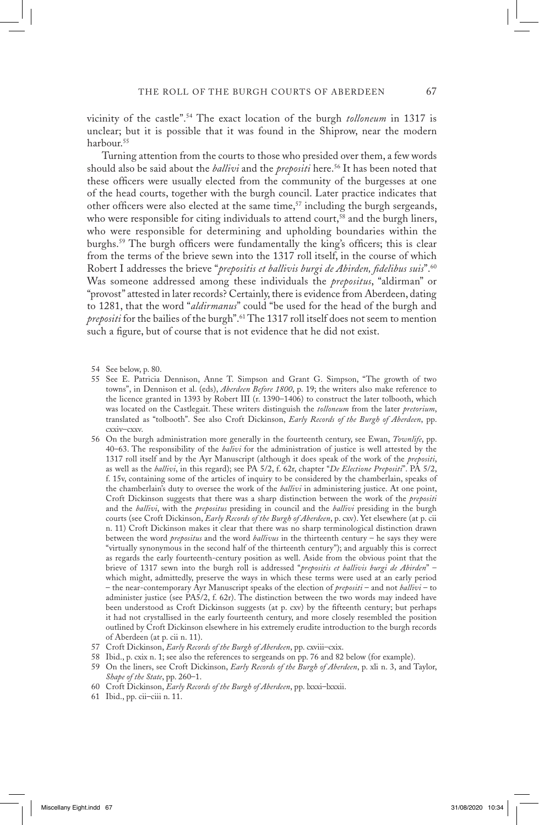vicinity of the castle".54 The exact location of the burgh *tolloneum* in 1317 is unclear; but it is possible that it was found in the Shiprow, near the modern harbour.<sup>55</sup>

 Turning attention from the courts to those who presided over them, a few words should also be said about the *ballivi* and the *prepositi* here.<sup>56</sup> It has been noted that these officers were usually elected from the community of the burgesses at one of the head courts, together with the burgh council. Later practice indicates that other officers were also elected at the same time,<sup>57</sup> including the burgh sergeands, who were responsible for citing individuals to attend court,<sup>58</sup> and the burgh liners, who were responsible for determining and upholding boundaries within the burghs.59 The burgh officers were fundamentally the king's officers; this is clear from the terms of the brieve sewn into the 1317 roll itself, in the course of which Robert I addresses the brieve "*prepositis et ballivis burgi de Abirden, fidelibus suis*".60 Was someone addressed among these individuals the *prepositus*, "aldirman" or "provost" attested in later records? Certainly, there is evidence from Aberdeen, dating to 1281, that the word "*aldirmanus*" could "be used for the head of the burgh and *prepositi* for the bailies of the burgh".61 The 1317 roll itself does not seem to mention such a figure, but of course that is not evidence that he did not exist.

- 54 See below, p. 80.
- 55 See E. Patricia Dennison, Anne T. Simpson and Grant G. Simpson, "The growth of two towns", in Dennison et al. (eds), *Aberdeen Before 1800*, p. 19; the writers also make reference to the licence granted in 1393 by Robert III (r. 1390–1406) to construct the later tolbooth, which was located on the Castlegait. These writers distinguish the *tolloneum* from the later *pretorium*, translated as "tolbooth". See also Croft Dickinson, *Early Records of the Burgh of Aberdeen*, pp. cxxiv–cxxv.
- 56 On the burgh administration more generally in the fourteenth century, see Ewan, *Townlife*, pp. 40–63. The responsibility of the *balivi* for the administration of justice is well attested by the 1317 roll itself and by the Ayr Manuscript (although it does speak of the work of the *prepositi*, as well as the *ballivi*, in this regard); see PA 5/2, f. 62r, chapter "*De Electione Prepositi*". PA 5/2, f. 15v, containing some of the articles of inquiry to be considered by the chamberlain, speaks of the chamberlain's duty to oversee the work of the *ballivi* in administering justice. At one point, Croft Dickinson suggests that there was a sharp distinction between the work of the *prepositi* and the *ballivi*, with the *prepositus* presiding in council and the *ballivi* presiding in the burgh courts (see Croft Dickinson, *Early Records of the Burgh of Aberdeen*, p. cxv). Yet elsewhere (at p. cii n. 11) Croft Dickinson makes it clear that there was no sharp terminological distinction drawn between the word *prepositus* and the word *ballivus* in the thirteenth century – he says they were "virtually synonymous in the second half of the thirteenth century"); and arguably this is correct as regards the early fourteenth-century position as well. Aside from the obvious point that the brieve of 1317 sewn into the burgh roll is addressed "*prepositis et ballivis burgi de Abirden*" – which might, admittedly, preserve the ways in which these terms were used at an early period – the near-contemporary Ayr Manuscript speaks of the election of *prepositi* – and not *ballivi* – to administer justice (see PA5/2, f. 62r). The distinction between the two words may indeed have been understood as Croft Dickinson suggests (at p. cxv) by the fifteenth century; but perhaps it had not crystallised in the early fourteenth century, and more closely resembled the position outlined by Croft Dickinson elsewhere in his extremely erudite introduction to the burgh records of Aberdeen (at p. cii n. 11).
- 57 Croft Dickinson, *Early Records of the Burgh of Aberdeen*, pp. cxviii–cxix.
- 58 Ibid., p. cxix n. 1; see also the references to sergeands on pp. 76 and 82 below (for example).
- 59 On the liners, see Croft Dickinson, *Early Records of the Burgh of Aberdeen*, p. xli n. 3, and Taylor, *Shape of the State*, pp. 260–1.
- 60 Croft Dickinson, *Early Records of the Burgh of Aberdeen*, pp. lxxxi–lxxxii.
- 61 Ibid., pp. cii–ciii n. 11.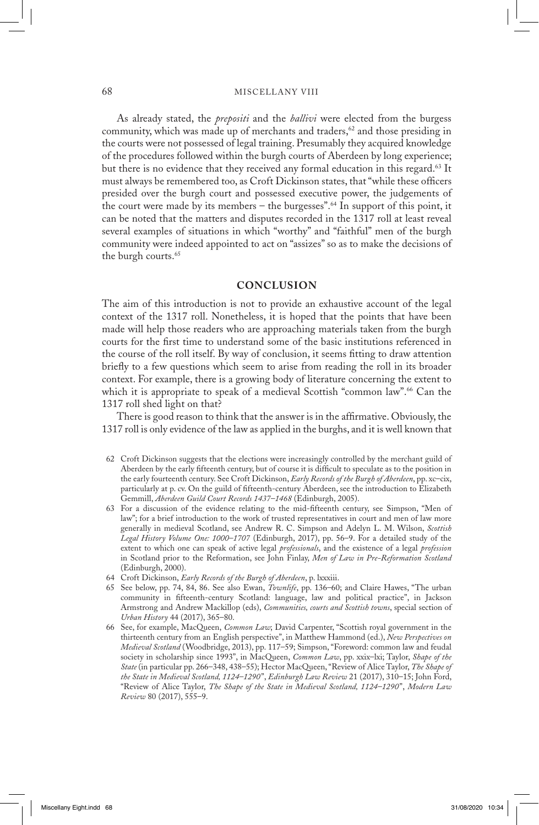#### 68 MISCELLANY VIII

As already stated, the *prepositi* and the *ballivi* were elected from the burgess community, which was made up of merchants and traders,<sup>62</sup> and those presiding in the courts were not possessed of legal training. Presumably they acquired knowledge of the procedures followed within the burgh courts of Aberdeen by long experience; but there is no evidence that they received any formal education in this regard.<sup>63</sup> It must always be remembered too, as Croft Dickinson states, that "while these officers presided over the burgh court and possessed executive power, the judgements of the court were made by its members – the burgesses".<sup>64</sup> In support of this point, it can be noted that the matters and disputes recorded in the 1317 roll at least reveal several examples of situations in which "worthy" and "faithful" men of the burgh community were indeed appointed to act on "assizes" so as to make the decisions of the burgh courts.<sup>65</sup>

## **CONCLUSION**

The aim of this introduction is not to provide an exhaustive account of the legal context of the 1317 roll. Nonetheless, it is hoped that the points that have been made will help those readers who are approaching materials taken from the burgh courts for the first time to understand some of the basic institutions referenced in the course of the roll itself. By way of conclusion, it seems fitting to draw attention briefly to a few questions which seem to arise from reading the roll in its broader context. For example, there is a growing body of literature concerning the extent to which it is appropriate to speak of a medieval Scottish "common law".<sup>66</sup> Can the 1317 roll shed light on that?

 There is good reason to think that the answer is in the affirmative. Obviously, the 1317 roll is only evidence of the law as applied in the burghs, and it is well known that

- 62 Croft Dickinson suggests that the elections were increasingly controlled by the merchant guild of Aberdeen by the early fifteenth century, but of course it is difficult to speculate as to the position in the early fourteenth century. See Croft Dickinson, *Early Records of the Burgh of Aberdeen*, pp. xc–cix, particularly at p. cv. On the guild of fifteenth-century Aberdeen, see the introduction to Elizabeth Gemmill, *Aberdeen Guild Court Records 1437–1468* (Edinburgh, 2005).
- 63 For a discussion of the evidence relating to the mid-fifteenth century, see Simpson, "Men of law"; for a brief introduction to the work of trusted representatives in court and men of law more generally in medieval Scotland, see Andrew R. C. Simpson and Adelyn L. M. Wilson, *Scottish Legal History Volume One: 1000–1707* (Edinburgh, 2017), pp. 56–9. For a detailed study of the extent to which one can speak of active legal *professionals*, and the existence of a legal *profession* in Scotland prior to the Reformation, see John Finlay, *Men of Law in Pre-Reformation Scotland* (Edinburgh, 2000).
- 64 Croft Dickinson, *Early Records of the Burgh of Aberdeen*, p. lxxxiii.
- 65 See below, pp. 74, 84, 86. See also Ewan, *Townlife*, pp. 136–60; and Claire Hawes, "The urban community in fifteenth-century Scotland: language, law and political practice", in Jackson Armstrong and Andrew Mackillop (eds), *Communities, courts and Scottish towns*, special section of *Urban History* 44 (2017), 365–80.
- 66 See, for example, MacQueen, *Common Law*; David Carpenter, "Scottish royal government in the thirteenth century from an English perspective", in Matthew Hammond (ed.), *New Perspectives on Medieval Scotland* (Woodbridge, 2013), pp. 117–59; Simpson, "Foreword: common law and feudal society in scholarship since 1993", in MacQueen, *Common Law*, pp. xxix–lxi; Taylor, *Shape of the State* (in particular pp. 266–348, 438–55); Hector MacQueen, "Review of Alice Taylor, *The Shape of the State in Medieval Scotland, 1124–1290*", *Edinburgh Law Review* 21 (2017), 310–15; John Ford, "Review of Alice Taylor, *The Shape of the State in Medieval Scotland, 1124–1290*", *Modern Law Review* 80 (2017), 555–9.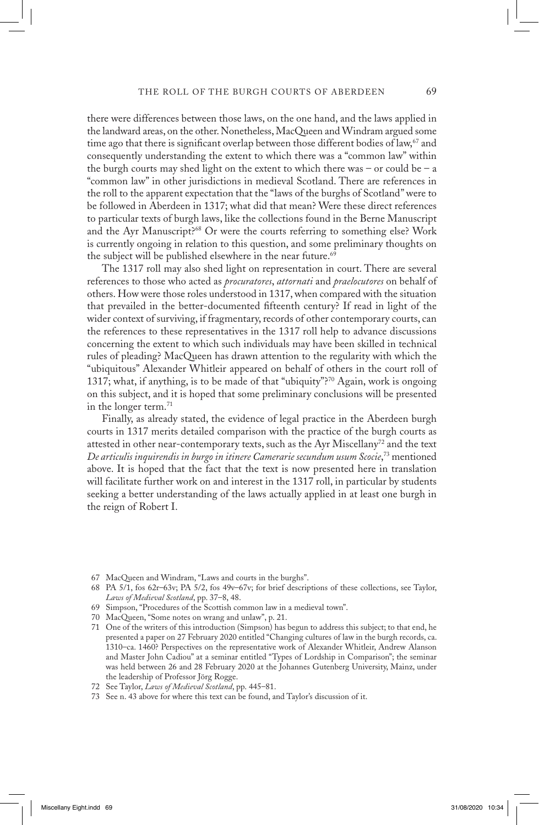there were differences between those laws, on the one hand, and the laws applied in the landward areas, on the other. Nonetheless, MacQueen and Windram argued some time ago that there is significant overlap between those different bodies of law,<sup>67</sup> and consequently understanding the extent to which there was a "common law" within the burgh courts may shed light on the extent to which there was – or could be – a "common law" in other jurisdictions in medieval Scotland. There are references in the roll to the apparent expectation that the "laws of the burghs of Scotland" were to be followed in Aberdeen in 1317; what did that mean? Were these direct references to particular texts of burgh laws, like the collections found in the Berne Manuscript and the Ayr Manuscript?68 Or were the courts referring to something else? Work is currently ongoing in relation to this question, and some preliminary thoughts on the subject will be published elsewhere in the near future.<sup>69</sup>

 The 1317 roll may also shed light on representation in court. There are several references to those who acted as *procuratores*, *attornati* and *praelocutores* on behalf of others. How were those roles understood in 1317, when compared with the situation that prevailed in the better-documented fifteenth century? If read in light of the wider context of surviving, if fragmentary, records of other contemporary courts, can the references to these representatives in the 1317 roll help to advance discussions concerning the extent to which such individuals may have been skilled in technical rules of pleading? MacQueen has drawn attention to the regularity with which the "ubiquitous" Alexander Whitleir appeared on behalf of others in the court roll of 1317; what, if anything, is to be made of that "ubiquity"?70 Again, work is ongoing on this subject, and it is hoped that some preliminary conclusions will be presented in the longer term.<sup>71</sup>

 Finally, as already stated, the evidence of legal practice in the Aberdeen burgh courts in 1317 merits detailed comparison with the practice of the burgh courts as attested in other near-contemporary texts, such as the Ayr Miscellany<sup>72</sup> and the text *De articulis inquirendis in burgo in itinere Camerarie secundum usum Scocie*, 73 mentioned above. It is hoped that the fact that the text is now presented here in translation will facilitate further work on and interest in the 1317 roll, in particular by students seeking a better understanding of the laws actually applied in at least one burgh in the reign of Robert I.

- 67 MacQueen and Windram, "Laws and courts in the burghs".
- 68 PA 5/1, fos 62r–63v; PA 5/2, fos 49v–67v; for brief descriptions of these collections, see Taylor, *Laws of Medieval Scotland*, pp. 37–8, 48.
- 69 Simpson, "Procedures of the Scottish common law in a medieval town".
- 70 MacQueen, "Some notes on wrang and unlaw", p. 21.
- 71 One of the writers of this introduction (Simpson) has begun to address this subject; to that end, he presented a paper on 27 February 2020 entitled "Changing cultures of law in the burgh records, ca. 1310–ca. 1460? Perspectives on the representative work of Alexander Whitleir, Andrew Alanson and Master John Cadiou" at a seminar entitled "Types of Lordship in Comparison"; the seminar was held between 26 and 28 February 2020 at the Johannes Gutenberg University, Mainz, under the leadership of Professor Jörg Rogge.
- 72 See Taylor, *Laws of Medieval Scotland*, pp. 445–81.
- 73 See n. 43 above for where this text can be found, and Taylor's discussion of it.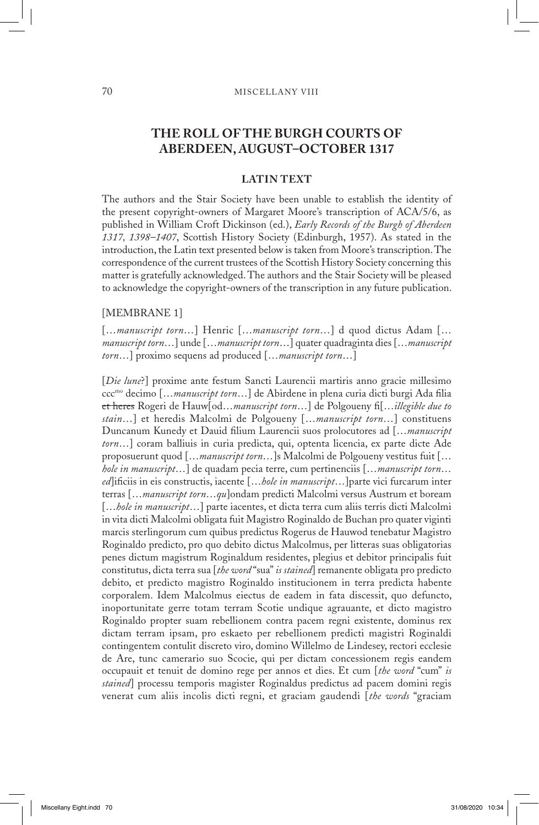## **THE ROLL OF THE BURGH COURTS OF ABERDEEN, AUGUST–OCTOBER 1317**

## **LATIN TEXT**

The authors and the Stair Society have been unable to establish the identity of the present copyright-owners of Margaret Moore's transcription of ACA/5/6, as published in William Croft Dickinson (ed.), *Early Records of the Burgh of Aberdeen 1317, 1398–1407*, Scottish History Society (Edinburgh, 1957). As stated in the introduction, the Latin text presented below is taken from Moore's transcription. The correspondence of the current trustees of the Scottish History Society concerning this matter is gratefully acknowledged. The authors and the Stair Society will be pleased to acknowledge the copyright-owners of the transcription in any future publication.

#### [MEMBRANE 1]

[…*manuscript torn*…] Henric […*manuscript torn*…] d quod dictus Adam [… *manuscript torn*…] unde […*manuscript torn*…] quater quadraginta dies […*manuscript torn*…] proximo sequens ad produced […*manuscript torn*…]

[*Die lune*?] proxime ante festum Sancti Laurencii martiris anno gracie millesimo cccmo decimo […*manuscript torn*…] de Abirdene in plena curia dicti burgi Ada filia et heres Rogeri de Hauw[od…*manuscript torn*…] de Polgoueny fi[…*illegible due to stain*…] et heredis Malcolmi de Polgoueny […*manuscript torn*…] constituens Duncanum Kunedy et Dauid filium Laurencii suos prolocutores ad […*manuscript torn*…] coram balliuis in curia predicta, qui, optenta licencia, ex parte dicte Ade proposuerunt quod […*manuscript torn*…]s Malcolmi de Polgoueny vestitus fuit [… *hole in manuscript*…] de quadam pecia terre, cum pertinenciis […*manuscript torn*… *ed*]ificiis in eis constructis, iacente […*hole in manuscript*…]parte vici furcarum inter terras […*manuscript torn*…*qu*]ondam predicti Malcolmi versus Austrum et boream [...*hole in manuscript*...] parte iacentes, et dicta terra cum aliis terris dicti Malcolmi in vita dicti Malcolmi obligata fuit Magistro Roginaldo de Buchan pro quater viginti marcis sterlingorum cum quibus predictus Rogerus de Hauwod tenebatur Magistro Roginaldo predicto, pro quo debito dictus Malcolmus, per litteras suas obligatorias penes dictum magistrum Roginaldum residentes, plegius et debitor principalis fuit constitutus, dicta terra sua [*the word* "sua" *is stained*] remanente obligata pro predicto debito, et predicto magistro Roginaldo institucionem in terra predicta habente corporalem. Idem Malcolmus eiectus de eadem in fata discessit, quo defuncto, inoportunitate gerre totam terram Scotie undique agrauante, et dicto magistro Roginaldo propter suam rebellionem contra pacem regni existente, dominus rex dictam terram ipsam, pro eskaeto per rebellionem predicti magistri Roginaldi contingentem contulit discreto viro, domino Willelmo de Lindesey, rectori ecclesie de Are, tunc camerario suo Scocie, qui per dictam concessionem regis eandem occupauit et tenuit de domino rege per annos et dies. Et cum [*the word* "cum" *is stained*] processu temporis magister Roginaldus predictus ad pacem domini regis venerat cum aliis incolis dicti regni, et graciam gaudendi [*the words* "graciam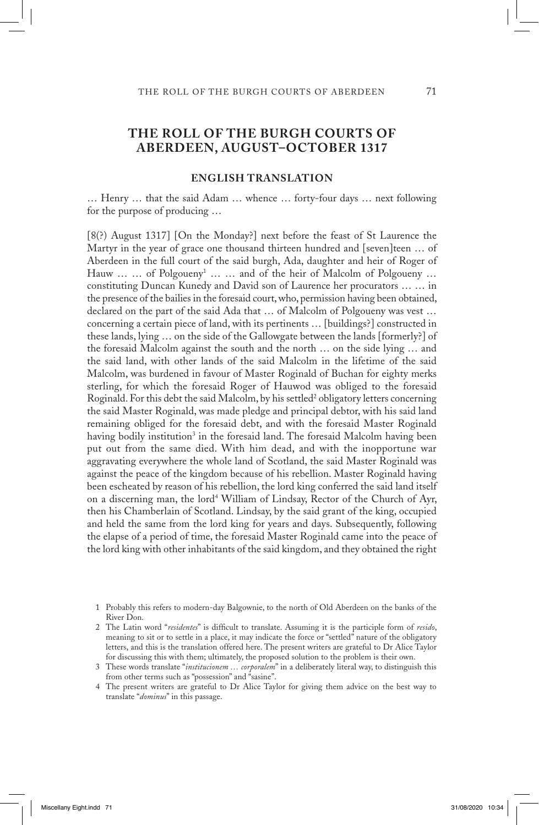## **THE ROLL OF THE BURGH COURTS OF ABERDEEN, AUGUST–OCTOBER 1317**

## **ENGLISH TRANSLATION**

… Henry … that the said Adam … whence … forty-four days … next following for the purpose of producing …

[8(?) August 1317] [On the Monday?] next before the feast of St Laurence the Martyr in the year of grace one thousand thirteen hundred and [seven]teen … of Aberdeen in the full court of the said burgh, Ada, daughter and heir of Roger of Hauw ... ... of Polgoueny<sup>1</sup> ... ... and of the heir of Malcolm of Polgoueny ... constituting Duncan Kunedy and David son of Laurence her procurators … … in the presence of the bailies in the foresaid court, who, permission having been obtained, declared on the part of the said Ada that … of Malcolm of Polgoueny was vest … concerning a certain piece of land, with its pertinents … [buildings?] constructed in these lands, lying … on the side of the Gallowgate between the lands [formerly?] of the foresaid Malcolm against the south and the north … on the side lying … and the said land, with other lands of the said Malcolm in the lifetime of the said Malcolm, was burdened in favour of Master Roginald of Buchan for eighty merks sterling, for which the foresaid Roger of Hauwod was obliged to the foresaid Roginald. For this debt the said Malcolm, by his settled<sup>2</sup> obligatory letters concerning the said Master Roginald, was made pledge and principal debtor, with his said land remaining obliged for the foresaid debt, and with the foresaid Master Roginald having bodily institution<sup>3</sup> in the foresaid land. The foresaid Malcolm having been put out from the same died. With him dead, and with the inopportune war aggravating everywhere the whole land of Scotland, the said Master Roginald was against the peace of the kingdom because of his rebellion. Master Roginald having been escheated by reason of his rebellion, the lord king conferred the said land itself on a discerning man, the lord<sup>4</sup> William of Lindsay, Rector of the Church of Ayr, then his Chamberlain of Scotland. Lindsay, by the said grant of the king, occupied and held the same from the lord king for years and days. Subsequently, following the elapse of a period of time, the foresaid Master Roginald came into the peace of the lord king with other inhabitants of the said kingdom, and they obtained the right

 <sup>1</sup> Probably this refers to modern-day Balgownie, to the north of Old Aberdeen on the banks of the River Don.

 <sup>2</sup> The Latin word "*residentes*" is difficult to translate. Assuming it is the participle form of *resido*, meaning to sit or to settle in a place, it may indicate the force or "settled" nature of the obligatory letters, and this is the translation offered here. The present writers are grateful to Dr Alice Taylor for discussing this with them; ultimately, the proposed solution to the problem is their own.

 <sup>3</sup> These words translate "*institucionem … corporalem*" in a deliberately literal way, to distinguish this from other terms such as "possession" and "sasine".

 <sup>4</sup> The present writers are grateful to Dr Alice Taylor for giving them advice on the best way to translate "*dominus*" in this passage.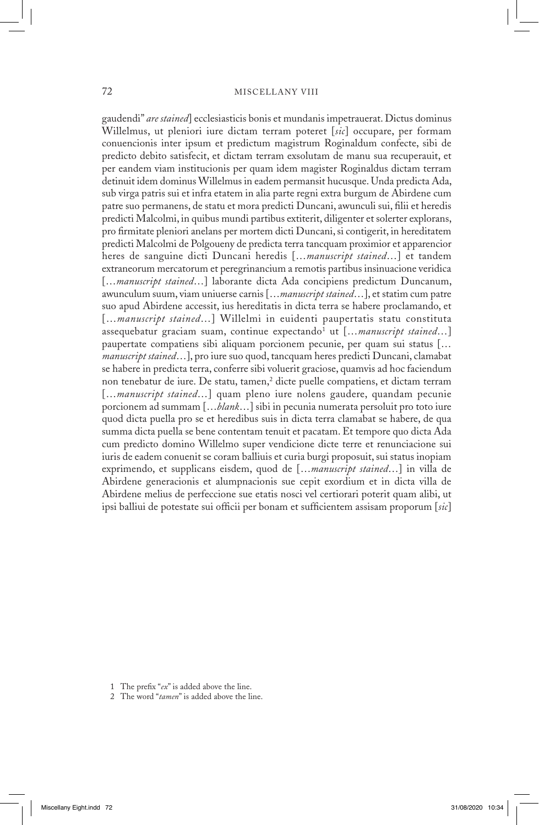#### 72 MISCELLANY VIII

gaudendi" *are stained*] ecclesiasticis bonis et mundanis impetrauerat. Dictus dominus Willelmus, ut pleniori iure dictam terram poteret [*sic*] occupare, per formam conuencionis inter ipsum et predictum magistrum Roginaldum confecte, sibi de predicto debito satisfecit, et dictam terram exsolutam de manu sua recuperauit, et per eandem viam institucionis per quam idem magister Roginaldus dictam terram detinuit idem dominus Willelmus in eadem permansit hucusque. Unda predicta Ada, sub virga patris sui et infra etatem in alia parte regni extra burgum de Abirdene cum patre suo permanens, de statu et mora predicti Duncani, awunculi sui, filii et heredis predicti Malcolmi, in quibus mundi partibus extiterit, diligenter et solerter explorans, pro firmitate pleniori anelans per mortem dicti Duncani, si contigerit, in hereditatem predicti Malcolmi de Polgoueny de predicta terra tancquam proximior et apparencior heres de sanguine dicti Duncani heredis […*manuscript stained*…] et tandem extraneorum mercatorum et peregrinancium a remotis partibus insinuacione veridica [...*manuscript stained...*] laborante dicta Ada concipiens predictum Duncanum, awunculum suum, viam uniuerse carnis […*manuscript stained*…], et statim cum patre suo apud Abirdene accessit, ius hereditatis in dicta terra se habere proclamando, et […*manuscript stained*…] Willelmi in euidenti paupertatis statu constituta assequebatur graciam suam, continue expectando<sup>1</sup> ut [...*manuscript stained...*] paupertate compatiens sibi aliquam porcionem pecunie, per quam sui status [… *manuscript stained*…], pro iure suo quod, tancquam heres predicti Duncani, clamabat se habere in predicta terra, conferre sibi voluerit graciose, quamvis ad hoc faciendum non tenebatur de iure. De statu, tamen,<sup>2</sup> dicte puelle compatiens, et dictam terram [...*manuscript stained*...] quam pleno iure nolens gaudere, quandam pecunie porcionem ad summam […*blank*…] sibi in pecunia numerata persoluit pro toto iure quod dicta puella pro se et heredibus suis in dicta terra clamabat se habere, de qua summa dicta puella se bene contentam tenuit et pacatam. Et tempore quo dicta Ada cum predicto domino Willelmo super vendicione dicte terre et renunciacione sui iuris de eadem conuenit se coram balliuis et curia burgi proposuit, sui status inopiam exprimendo, et supplicans eisdem, quod de […*manuscript stained*…] in villa de Abirdene generacionis et alumpnacionis sue cepit exordium et in dicta villa de Abirdene melius de perfeccione sue etatis nosci vel certiorari poterit quam alibi, ut ipsi balliui de potestate sui officii per bonam et sufficientem assisam proporum [*sic*]

- 1 The prefix "*ex*" is added above the line.
- 2 The word "*tamen*" is added above the line.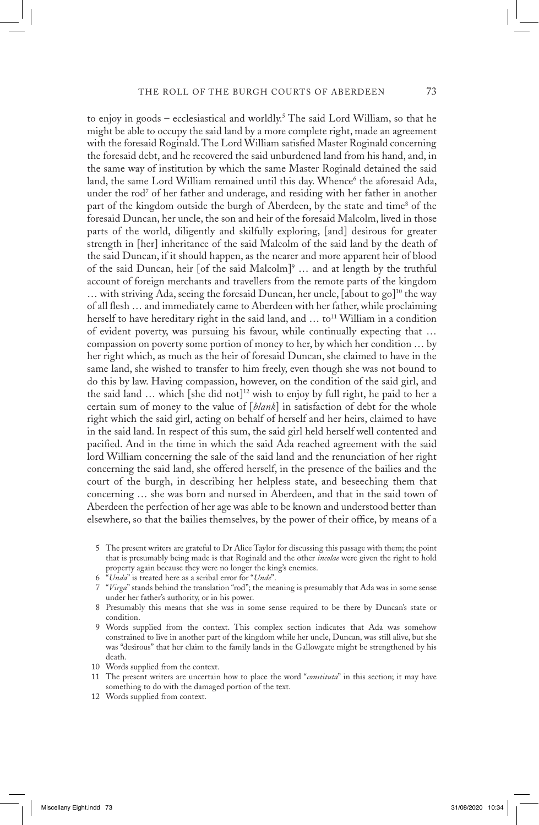to enjoy in goods – ecclesiastical and worldly.5 The said Lord William, so that he might be able to occupy the said land by a more complete right, made an agreement with the foresaid Roginald. The Lord William satisfied Master Roginald concerning the foresaid debt, and he recovered the said unburdened land from his hand, and, in the same way of institution by which the same Master Roginald detained the said land, the same Lord William remained until this day. Whence<sup>6</sup> the aforesaid Ada, under the rod<sup>7</sup> of her father and underage, and residing with her father in another part of the kingdom outside the burgh of Aberdeen, by the state and time<sup>8</sup> of the foresaid Duncan, her uncle, the son and heir of the foresaid Malcolm, lived in those parts of the world, diligently and skilfully exploring, [and] desirous for greater strength in [her] inheritance of the said Malcolm of the said land by the death of the said Duncan, if it should happen, as the nearer and more apparent heir of blood of the said Duncan, heir [of the said Malcolm]<sup>9</sup> ... and at length by the truthful account of foreign merchants and travellers from the remote parts of the kingdom  $\ldots$  with striving Ada, seeing the foresaid Duncan, her uncle, [about to go]<sup>10</sup> the way of all flesh … and immediately came to Aberdeen with her father, while proclaiming herself to have hereditary right in the said land, and  $\ldots$  to<sup>11</sup> William in a condition of evident poverty, was pursuing his favour, while continually expecting that … compassion on poverty some portion of money to her, by which her condition … by her right which, as much as the heir of foresaid Duncan, she claimed to have in the same land, she wished to transfer to him freely, even though she was not bound to do this by law. Having compassion, however, on the condition of the said girl, and the said land  $\ldots$  which [she did not]<sup>12</sup> wish to enjoy by full right, he paid to her a certain sum of money to the value of [*blank*] in satisfaction of debt for the whole right which the said girl, acting on behalf of herself and her heirs, claimed to have in the said land. In respect of this sum, the said girl held herself well contented and pacified. And in the time in which the said Ada reached agreement with the said lord William concerning the sale of the said land and the renunciation of her right concerning the said land, she offered herself, in the presence of the bailies and the court of the burgh, in describing her helpless state, and beseeching them that concerning … she was born and nursed in Aberdeen, and that in the said town of Aberdeen the perfection of her age was able to be known and understood better than elsewhere, so that the bailies themselves, by the power of their office, by means of a

- 5 The present writers are grateful to Dr Alice Taylor for discussing this passage with them; the point that is presumably being made is that Roginald and the other *incolae* were given the right to hold property again because they were no longer the king's enemies.
- 6 "*Unda*" is treated here as a scribal error for "*Unde*".
- 7 "*Virga*" stands behind the translation "rod"; the meaning is presumably that Ada was in some sense under her father's authority, or in his power.
- 8 Presumably this means that she was in some sense required to be there by Duncan's state or condition.
- 9 Words supplied from the context. This complex section indicates that Ada was somehow constrained to live in another part of the kingdom while her uncle, Duncan, was still alive, but she was "desirous" that her claim to the family lands in the Gallowgate might be strengthened by his death.
- 10 Words supplied from the context.
- 11 The present writers are uncertain how to place the word "*constituta*" in this section; it may have something to do with the damaged portion of the text.
- 12 Words supplied from context.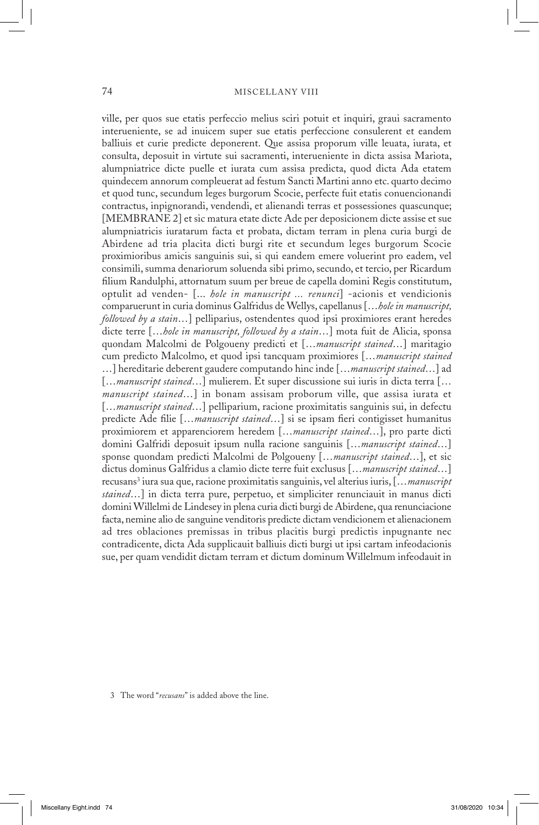ville, per quos sue etatis perfeccio melius sciri potuit et inquiri, graui sacramento interueniente, se ad inuicem super sue etatis perfeccione consulerent et eandem balliuis et curie predicte deponerent. Que assisa proporum ville leuata, iurata, et consulta, deposuit in virtute sui sacramenti, interueniente in dicta assisa Mariota, alumpniatrice dicte puelle et iurata cum assisa predicta, quod dicta Ada etatem quindecem annorum compleuerat ad festum Sancti Martini anno etc. quarto decimo et quod tunc, secundum leges burgorum Scocie, perfecte fuit etatis conuencionandi contractus, inpignorandi, vendendi, et alienandi terras et possessiones quascunque; [MEMBRANE 2] et sic matura etate dicte Ade per deposicionem dicte assise et sue alumpniatricis iuratarum facta et probata, dictam terram in plena curia burgi de Abirdene ad tria placita dicti burgi rite et secundum leges burgorum Scocie proximioribus amicis sanguinis sui, si qui eandem emere voluerint pro eadem, vel consimili, summa denariorum soluenda sibi primo, secundo, et tercio, per Ricardum filium Randulphi, attornatum suum per breue de capella domini Regis constitutum, optulit ad venden- [... *hole in manuscript ... renunci*] -acionis et vendicionis comparuerunt in curia dominus Galfridus de Wellys, capellanus […*hole in manuscript, followed by a stain*…] pelliparius, ostendentes quod ipsi proximiores erant heredes dicte terre […*hole in manuscript, followed by a stain*…] mota fuit de Alicia, sponsa quondam Malcolmi de Polgoueny predicti et […*manuscript stained*…] maritagio cum predicto Malcolmo, et quod ipsi tancquam proximiores […*manuscript stained* …] hereditarie deberent gaudere computando hinc inde […*manuscript stained*…] ad […*manuscript stained*…] mulierem. Et super discussione sui iuris in dicta terra [… *manuscript stained*…] in bonam assisam proborum ville, que assisa iurata et […*manuscript stained*…] pelliparium, racione proximitatis sanguinis sui, in defectu predicte Ade filie […*manuscript stained*…] si se ipsam fieri contigisset humanitus proximiorem et apparenciorem heredem […*manuscript stained*…], pro parte dicti domini Galfridi deposuit ipsum nulla racione sanguinis […*manuscript stained*…] sponse quondam predicti Malcolmi de Polgoueny […*manuscript stained*…], et sic dictus dominus Galfridus a clamio dicte terre fuit exclusus […*manuscript stained*…] recusans3 iura sua que, racione proximitatis sanguinis, vel alterius iuris, […*manuscript stained*…] in dicta terra pure, perpetuo, et simpliciter renunciauit in manus dicti domini Willelmi de Lindesey in plena curia dicti burgi de Abirdene, qua renunciacione facta, nemine alio de sanguine venditoris predicte dictam vendicionem et alienacionem ad tres oblaciones premissas in tribus placitis burgi predictis inpugnante nec contradicente, dicta Ada supplicauit balliuis dicti burgi ut ipsi cartam infeodacionis sue, per quam vendidit dictam terram et dictum dominum Willelmum infeodauit in

 <sup>3</sup> The word "*recusans*" is added above the line.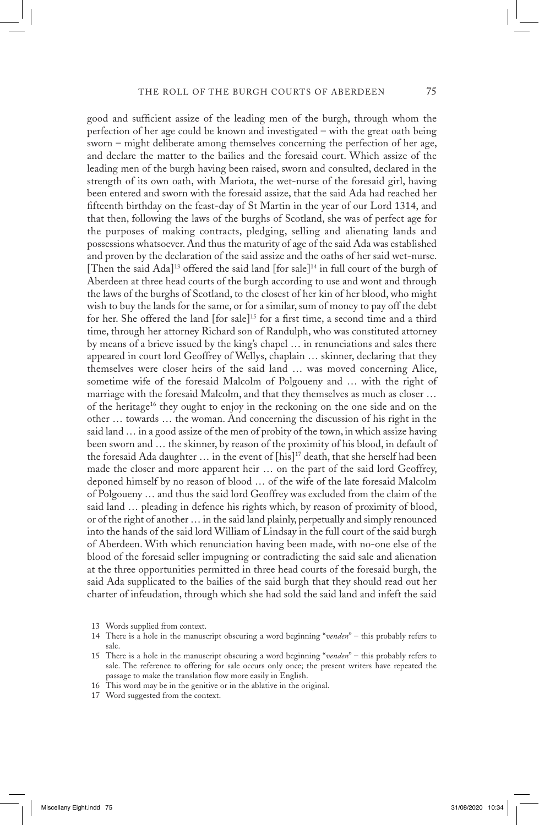good and sufficient assize of the leading men of the burgh, through whom the perfection of her age could be known and investigated – with the great oath being sworn – might deliberate among themselves concerning the perfection of her age, and declare the matter to the bailies and the foresaid court. Which assize of the leading men of the burgh having been raised, sworn and consulted, declared in the strength of its own oath, with Mariota, the wet-nurse of the foresaid girl, having been entered and sworn with the foresaid assize, that the said Ada had reached her fifteenth birthday on the feast-day of St Martin in the year of our Lord 1314, and that then, following the laws of the burghs of Scotland, she was of perfect age for the purposes of making contracts, pledging, selling and alienating lands and possessions whatsoever. And thus the maturity of age of the said Ada was established and proven by the declaration of the said assize and the oaths of her said wet-nurse. [Then the said Ada]<sup>13</sup> offered the said land [for sale]<sup>14</sup> in full court of the burgh of Aberdeen at three head courts of the burgh according to use and wont and through the laws of the burghs of Scotland, to the closest of her kin of her blood, who might wish to buy the lands for the same, or for a similar, sum of money to pay off the debt for her. She offered the land [for sale]<sup>15</sup> for a first time, a second time and a third time, through her attorney Richard son of Randulph, who was constituted attorney by means of a brieve issued by the king's chapel … in renunciations and sales there appeared in court lord Geoffrey of Wellys, chaplain … skinner, declaring that they themselves were closer heirs of the said land … was moved concerning Alice, sometime wife of the foresaid Malcolm of Polgoueny and … with the right of marriage with the foresaid Malcolm, and that they themselves as much as closer … of the heritage<sup>16</sup> they ought to enjoy in the reckoning on the one side and on the other … towards … the woman. And concerning the discussion of his right in the said land … in a good assize of the men of probity of the town, in which assize having been sworn and … the skinner, by reason of the proximity of his blood, in default of the foresaid Ada daughter  $\ldots$  in the event of [his]<sup>17</sup> death, that she herself had been made the closer and more apparent heir … on the part of the said lord Geoffrey, deponed himself by no reason of blood … of the wife of the late foresaid Malcolm of Polgoueny … and thus the said lord Geoffrey was excluded from the claim of the said land … pleading in defence his rights which, by reason of proximity of blood, or of the right of another … in the said land plainly, perpetually and simply renounced into the hands of the said lord William of Lindsay in the full court of the said burgh of Aberdeen. With which renunciation having been made, with no-one else of the blood of the foresaid seller impugning or contradicting the said sale and alienation at the three opportunities permitted in three head courts of the foresaid burgh, the said Ada supplicated to the bailies of the said burgh that they should read out her charter of infeudation, through which she had sold the said land and infeft the said

13 Words supplied from context.

- 16 This word may be in the genitive or in the ablative in the original.
- 17 Word suggested from the context.

<sup>14</sup> There is a hole in the manuscript obscuring a word beginning "*venden*" – this probably refers to sale.

<sup>15</sup> There is a hole in the manuscript obscuring a word beginning "*venden*" – this probably refers to sale. The reference to offering for sale occurs only once; the present writers have repeated the passage to make the translation flow more easily in English.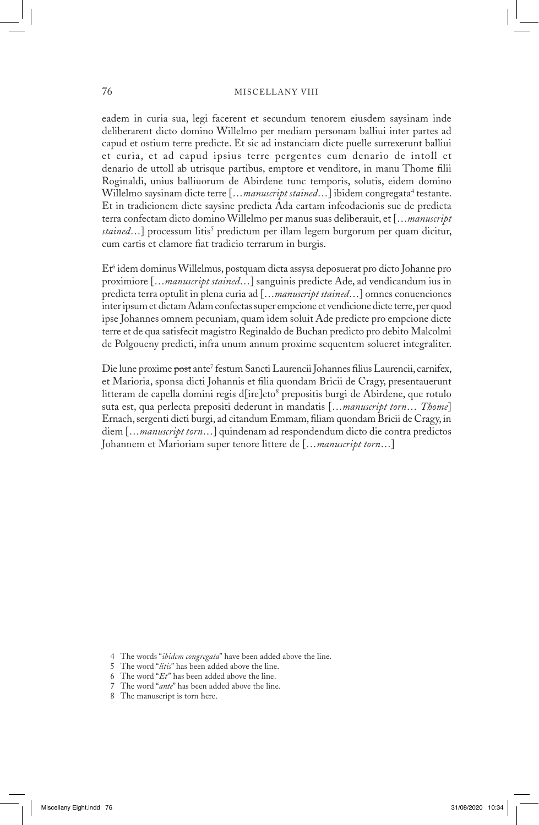#### 76 MISCELLANY VIII

eadem in curia sua, legi facerent et secundum tenorem eiusdem saysinam inde deliberarent dicto domino Willelmo per mediam personam balliui inter partes ad capud et ostium terre predicte. Et sic ad instanciam dicte puelle surrexerunt balliui et curia, et ad capud ipsius terre pergentes cum denario de intoll et denario de uttoll ab utrisque partibus, emptore et venditore, in manu Thome filii Roginaldi, unius balliuorum de Abirdene tunc temporis, solutis, eidem domino Willelmo saysinam dicte terre [...*manuscript stained*...] ibidem congregata<sup>4</sup> testante. Et in tradicionem dicte saysine predicta Ada cartam infeodacionis sue de predicta terra confectam dicto domino Willelmo per manus suas deliberauit, et […*manuscript stained*…] processum litis<sup>5</sup> predictum per illam legem burgorum per quam dicitur, cum cartis et clamore fiat tradicio terrarum in burgis.

Et<sup>6</sup> idem dominus Willelmus, postquam dicta assysa deposuerat pro dicto Johanne pro proximiore […*manuscript stained*…] sanguinis predicte Ade, ad vendicandum ius in predicta terra optulit in plena curia ad […*manuscript stained*…] omnes conuenciones inter ipsum et dictam Adam confectas super empcione et vendicione dicte terre, per quod ipse Johannes omnem pecuniam, quam idem soluit Ade predicte pro empcione dicte terre et de qua satisfecit magistro Reginaldo de Buchan predicto pro debito Malcolmi de Polgoueny predicti, infra unum annum proxime sequentem solueret integraliter.

Die lune proxime <del>post</del> ante<sup>7</sup> festum Sancti Laurencii Johannes filius Laurencii, carnifex, et Marioria, sponsa dicti Johannis et filia quondam Bricii de Cragy, presentauerunt litteram de capella domini regis d[ire]cto<sup>8</sup> prepositis burgi de Abirdene, que rotulo suta est, qua perlecta prepositi dederunt in mandatis […*manuscript torn*… *Thome*] Ernach, sergenti dicti burgi, ad citandum Emmam, filiam quondam Bricii de Cragy, in diem […*manuscript torn*…] quindenam ad respondendum dicto die contra predictos Johannem et Marioriam super tenore littere de […*manuscript torn*…]

 <sup>4</sup> The words "*ibidem congregata*" have been added above the line.

 <sup>5</sup> The word "*litis*" has been added above the line.

 <sup>6</sup> The word "*Et*" has been added above the line.

 <sup>7</sup> The word "*ante*" has been added above the line.

 <sup>8</sup> The manuscript is torn here.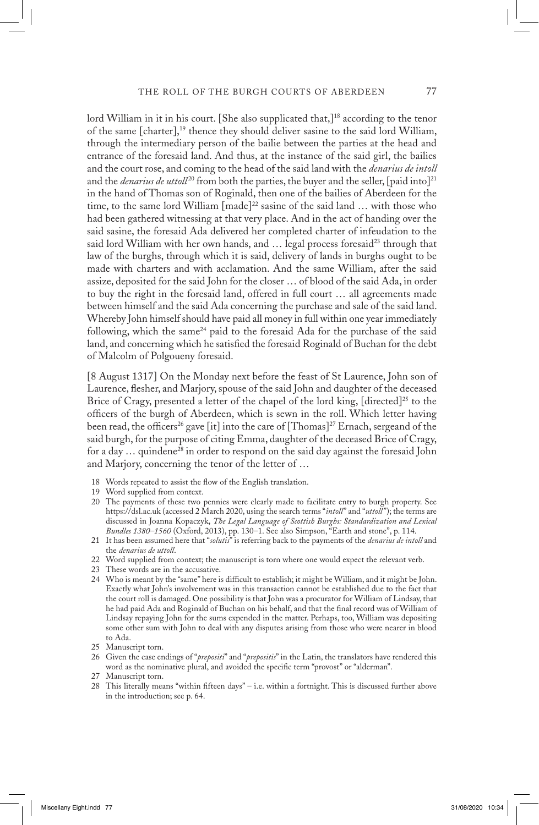lord William in it in his court. [She also supplicated that,]<sup>18</sup> according to the tenor of the same [charter],19 thence they should deliver sasine to the said lord William, through the intermediary person of the bailie between the parties at the head and entrance of the foresaid land. And thus, at the instance of the said girl, the bailies and the court rose, and coming to the head of the said land with the *denarius de intoll*  and the *denarius de uttoll*<sup>20</sup> from both the parties, the buyer and the seller, [paid into]<sup>21</sup> in the hand of Thomas son of Roginald, then one of the bailies of Aberdeen for the time, to the same lord William  $[made]^{22}$  sasine of the said land ... with those who had been gathered witnessing at that very place. And in the act of handing over the said sasine, the foresaid Ada delivered her completed charter of infeudation to the said lord William with her own hands, and ... legal process foresaid<sup>23</sup> through that law of the burghs, through which it is said, delivery of lands in burghs ought to be made with charters and with acclamation. And the same William, after the said assize, deposited for the said John for the closer … of blood of the said Ada, in order to buy the right in the foresaid land, offered in full court … all agreements made between himself and the said Ada concerning the purchase and sale of the said land. Whereby John himself should have paid all money in full within one year immediately following, which the same<sup>24</sup> paid to the foresaid Ada for the purchase of the said land, and concerning which he satisfied the foresaid Roginald of Buchan for the debt of Malcolm of Polgoueny foresaid.

[8 August 1317] On the Monday next before the feast of St Laurence, John son of Laurence, flesher, and Marjory, spouse of the said John and daughter of the deceased Brice of Cragy, presented a letter of the chapel of the lord king,  $\int$  directed<sup> $25$ </sup> to the officers of the burgh of Aberdeen, which is sewn in the roll. Which letter having been read, the officers<sup>26</sup> gave [it] into the care of [Thomas]<sup>27</sup> Ernach, sergeand of the said burgh, for the purpose of citing Emma, daughter of the deceased Brice of Cragy, for a day  $\ldots$  quindene<sup>28</sup> in order to respond on the said day against the foresaid John and Marjory, concerning the tenor of the letter of …

- 18 Words repeated to assist the flow of the English translation.
- 19 Word supplied from context.
- 20 The payments of these two pennies were clearly made to facilitate entry to burgh property. See https://dsl.ac.uk (accessed 2 March 2020, using the search terms "*intoll*" and "*uttoll*"); the terms are discussed in Joanna Kopaczyk, *The Legal Language of Scottish Burghs: Standardization and Lexical Bundles 1380–1560* (Oxford, 2013), pp. 130–1. See also Simpson, "Earth and stone", p. 114.
- 21 It has been assumed here that "*solutis*" is referring back to the payments of the *denarius de intoll* and the *denarius de uttoll*.
- 22 Word supplied from context; the manuscript is torn where one would expect the relevant verb.
- 23 These words are in the accusative.
- 24 Who is meant by the "same" here is difficult to establish; it might be William, and it might be John. Exactly what John's involvement was in this transaction cannot be established due to the fact that the court roll is damaged. One possibility is that John was a procurator for William of Lindsay, that he had paid Ada and Roginald of Buchan on his behalf, and that the final record was of William of Lindsay repaying John for the sums expended in the matter. Perhaps, too, William was depositing some other sum with John to deal with any disputes arising from those who were nearer in blood to Ada.
- 25 Manuscript torn.
- 26 Given the case endings of "*prepositi*" and "*prepositis*" in the Latin, the translators have rendered this word as the nominative plural, and avoided the specific term "provost" or "alderman".
- 27 Manuscript torn.
- 28 This literally means "within fifteen days" i.e. within a fortnight. This is discussed further above in the introduction; see p. 64.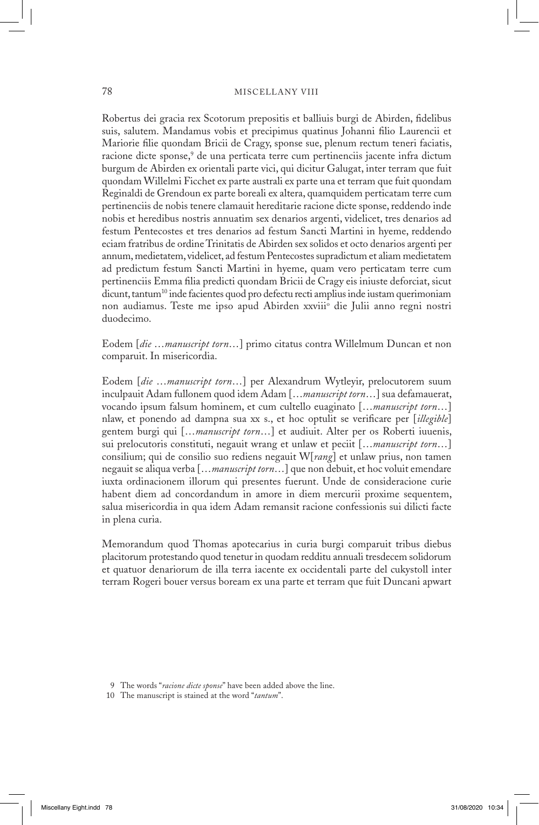Robertus dei gracia rex Scotorum prepositis et balliuis burgi de Abirden, fidelibus suis, salutem. Mandamus vobis et precipimus quatinus Johanni filio Laurencii et Mariorie filie quondam Bricii de Cragy, sponse sue, plenum rectum teneri faciatis, racione dicte sponse,<sup>9</sup> de una perticata terre cum pertinenciis jacente infra dictum burgum de Abirden ex orientali parte vici, qui dicitur Galugat, inter terram que fuit quondam Willelmi Ficchet ex parte australi ex parte una et terram que fuit quondam Reginaldi de Grendoun ex parte boreali ex altera, quamquidem perticatam terre cum pertinenciis de nobis tenere clamauit hereditarie racione dicte sponse, reddendo inde nobis et heredibus nostris annuatim sex denarios argenti, videlicet, tres denarios ad festum Pentecostes et tres denarios ad festum Sancti Martini in hyeme, reddendo eciam fratribus de ordine Trinitatis de Abirden sex solidos et octo denarios argenti per annum, medietatem, videlicet, ad festum Pentecostes supradictum et aliam medietatem ad predictum festum Sancti Martini in hyeme, quam vero perticatam terre cum pertinenciis Emma filia predicti quondam Bricii de Cragy eis iniuste deforciat, sicut dicunt, tantum<sup>10</sup> inde facientes quod pro defectu recti amplius inde iustam querimoniam non audiamus. Teste me ipso apud Abirden xxviii° die Julii anno regni nostri duodecimo.

Eodem [*die* …*manuscript torn*…] primo citatus contra Willelmum Duncan et non comparuit. In misericordia.

Eodem [*die* …*manuscript torn*…] per Alexandrum Wytleyir, prelocutorem suum inculpauit Adam fullonem quod idem Adam […*manuscript torn*…] sua defamauerat, vocando ipsum falsum hominem, et cum cultello euaginato […*manuscript torn*…] nlaw, et ponendo ad dampna sua xx s., et hoc optulit se verificare per [*illegible*] gentem burgi qui […*manuscript torn*…] et audiuit. Alter per os Roberti iuuenis, sui prelocutoris constituti, negauit wrang et unlaw et peciit […*manuscript torn*…] consilium; qui de consilio suo rediens negauit W[*rang*] et unlaw prius, non tamen negauit se aliqua verba […*manuscript torn*…] que non debuit, et hoc voluit emendare iuxta ordinacionem illorum qui presentes fuerunt. Unde de consideracione curie habent diem ad concordandum in amore in diem mercurii proxime sequentem, salua misericordia in qua idem Adam remansit racione confessionis sui dilicti facte in plena curia.

Memorandum quod Thomas apotecarius in curia burgi comparuit tribus diebus placitorum protestando quod tenetur in quodam redditu annuali tresdecem solidorum et quatuor denariorum de illa terra iacente ex occidentali parte del cukystoll inter terram Rogeri bouer versus boream ex una parte et terram que fuit Duncani apwart

 <sup>9</sup> The words "*racione dicte sponse*" have been added above the line.

<sup>10</sup> The manuscript is stained at the word "*tantum*".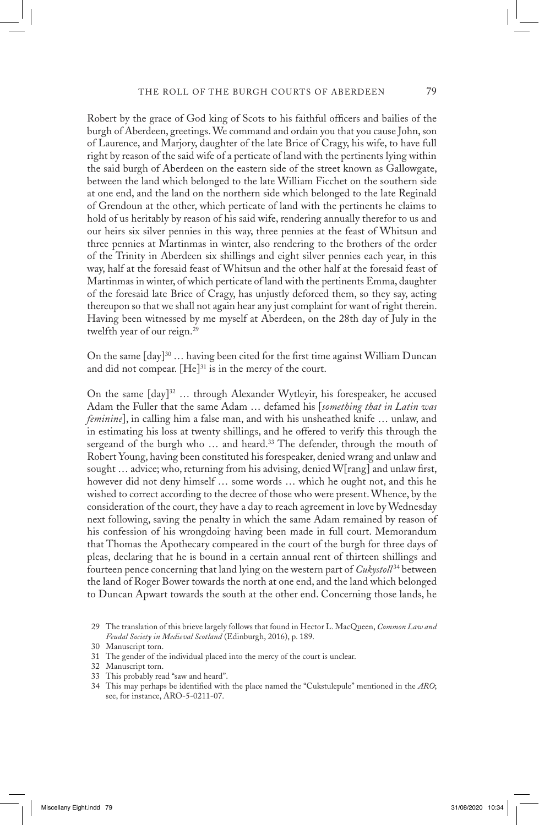Robert by the grace of God king of Scots to his faithful officers and bailies of the burgh of Aberdeen, greetings. We command and ordain you that you cause John, son of Laurence, and Marjory, daughter of the late Brice of Cragy, his wife, to have full right by reason of the said wife of a perticate of land with the pertinents lying within the said burgh of Aberdeen on the eastern side of the street known as Gallowgate, between the land which belonged to the late William Ficchet on the southern side at one end, and the land on the northern side which belonged to the late Reginald of Grendoun at the other, which perticate of land with the pertinents he claims to hold of us heritably by reason of his said wife, rendering annually therefor to us and our heirs six silver pennies in this way, three pennies at the feast of Whitsun and three pennies at Martinmas in winter, also rendering to the brothers of the order of the Trinity in Aberdeen six shillings and eight silver pennies each year, in this way, half at the foresaid feast of Whitsun and the other half at the foresaid feast of Martinmas in winter, of which perticate of land with the pertinents Emma, daughter of the foresaid late Brice of Cragy, has unjustly deforced them, so they say, acting thereupon so that we shall not again hear any just complaint for want of right therein. Having been witnessed by me myself at Aberdeen, on the 28th day of July in the twelfth year of our reign.<sup>29</sup>

On the same  $[day]^{30}$  ... having been cited for the first time against William Duncan and did not compear.  $[He]^{31}$  is in the mercy of the court.

On the same  $\lceil \text{day} \rceil^{32}$  ... through Alexander Wytleyir, his forespeaker, he accused Adam the Fuller that the same Adam … defamed his [*something that in Latin was feminine*], in calling him a false man, and with his unsheathed knife … unlaw, and in estimating his loss at twenty shillings, and he offered to verify this through the sergeand of the burgh who ... and heard.<sup>33</sup> The defender, through the mouth of Robert Young, having been constituted his forespeaker, denied wrang and unlaw and sought … advice; who, returning from his advising, denied W[rang] and unlaw first, however did not deny himself … some words … which he ought not, and this he wished to correct according to the decree of those who were present. Whence, by the consideration of the court, they have a day to reach agreement in love by Wednesday next following, saving the penalty in which the same Adam remained by reason of his confession of his wrongdoing having been made in full court. Memorandum that Thomas the Apothecary compeared in the court of the burgh for three days of pleas, declaring that he is bound in a certain annual rent of thirteen shillings and fourteen pence concerning that land lying on the western part of *Cukystoll* 34 between the land of Roger Bower towards the north at one end, and the land which belonged to Duncan Apwart towards the south at the other end. Concerning those lands, he

33 This probably read "saw and heard".

<sup>29</sup> The translation of this brieve largely follows that found in Hector L. MacQueen, *Common Law and Feudal Society in Medieval Scotland* (Edinburgh, 2016), p. 189.

<sup>30</sup> Manuscript torn.

<sup>31</sup> The gender of the individual placed into the mercy of the court is unclear.

<sup>32</sup> Manuscript torn.

<sup>34</sup> This may perhaps be identified with the place named the "Cukstulepule" mentioned in the *ARO*; see, for instance, ARO-5-0211-07.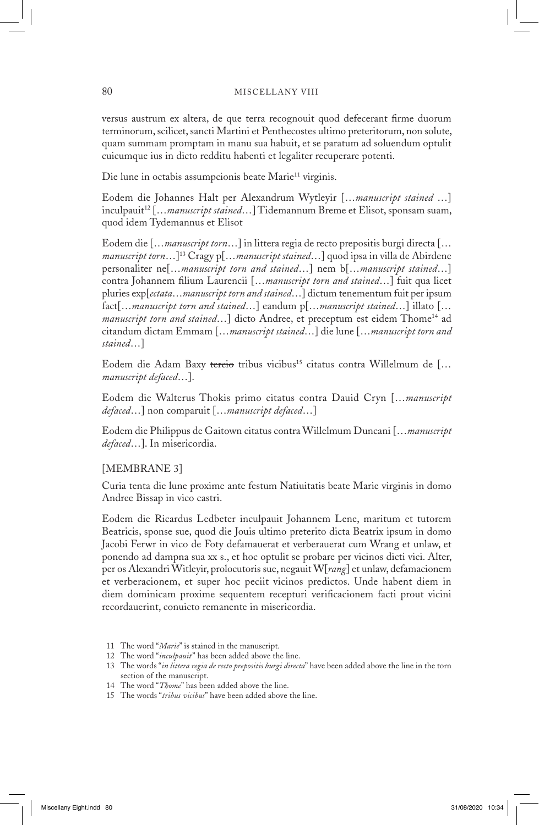versus austrum ex altera, de que terra recognouit quod defecerant firme duorum terminorum, scilicet, sancti Martini et Penthecostes ultimo preteritorum, non solute, quam summam promptam in manu sua habuit, et se paratum ad soluendum optulit cuicumque ius in dicto redditu habenti et legaliter recuperare potenti.

Die lune in octabis assumpcionis beate Marie<sup>11</sup> virginis.

Eodem die Johannes Halt per Alexandrum Wytleyir […*manuscript stained* …] inculpauit12 […*manuscript stained*…] Tidemannum Breme et Elisot, sponsam suam, quod idem Tydemannus et Elisot

Eodem die […*manuscript torn*…] in littera regia de recto prepositis burgi directa [… *manuscript torn*…]13 Cragy p[…*manuscript stained*…] quod ipsa in villa de Abirdene personaliter ne[…*manuscript torn and stained*…] nem b[…*manuscript stained*…] contra Johannem filium Laurencii […*manuscript torn and stained*…] fuit qua licet pluries exp[*ectata*…*manuscript torn and stained*…] dictum tenementum fuit per ipsum fact[…*manuscript torn and stained*…] eandum p[…*manuscript stained*…] illato [… *manuscript torn and stained*...] dicto Andree, et preceptum est eidem Thome<sup>14</sup> ad citandum dictam Emmam […*manuscript stained*…] die lune […*manuscript torn and stained*…]

Eodem die Adam Baxy tercio tribus vicibus<sup>15</sup> citatus contra Willelmum de [... *manuscript defaced*…].

Eodem die Walterus Thokis primo citatus contra Dauid Cryn […*manuscript defaced*…] non comparuit […*manuscript defaced*…]

Eodem die Philippus de Gaitown citatus contra Willelmum Duncani […*manuscript defaced*…]. In misericordia.

### [MEMBRANE 3]

Curia tenta die lune proxime ante festum Natiuitatis beate Marie virginis in domo Andree Bissap in vico castri.

Eodem die Ricardus Ledbeter inculpauit Johannem Lene, maritum et tutorem Beatricis, sponse sue, quod die Jouis ultimo preterito dicta Beatrix ipsum in domo Jacobi Ferwr in vico de Foty defamauerat et verberauerat cum Wrang et unlaw, et ponendo ad dampna sua xx s., et hoc optulit se probare per vicinos dicti vici. Alter, per os Alexandri Witleyir, prolocutoris sue, negauit W[*rang*] et unlaw, defamacionem et verberacionem, et super hoc peciit vicinos predictos. Unde habent diem in diem dominicam proxime sequentem recepturi verificacionem facti prout vicini recordauerint, conuicto remanente in misericordia.

- 12 The word "*inculpauit*" has been added above the line.
- 13 The words "*in littera regia de recto prepositis burgi directa*" have been added above the line in the torn section of the manuscript.
- 14 The word "*Thome*" has been added above the line.
- 15 The words "*tribus vicibus*" have been added above the line.

<sup>11</sup> The word "*Marie*" is stained in the manuscript.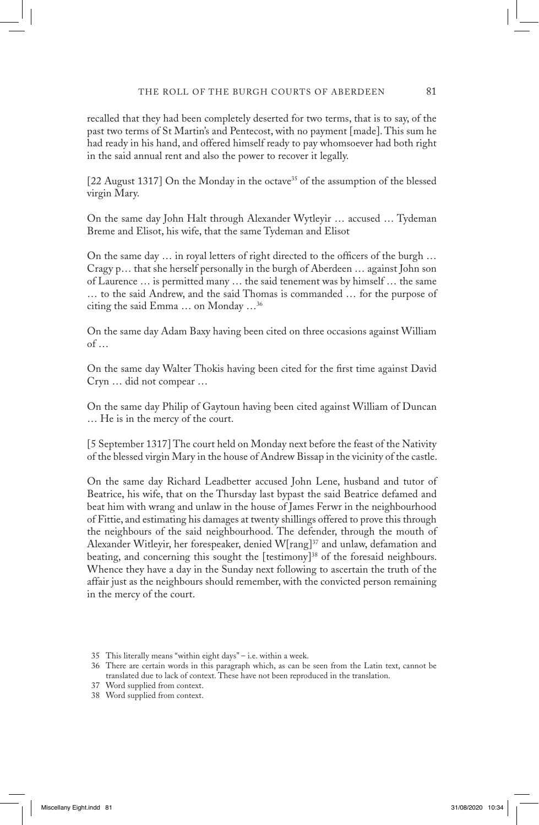recalled that they had been completely deserted for two terms, that is to say, of the past two terms of St Martin's and Pentecost, with no payment [made]. This sum he had ready in his hand, and offered himself ready to pay whomsoever had both right in the said annual rent and also the power to recover it legally.

[22 August 1317] On the Monday in the octave<sup>35</sup> of the assumption of the blessed virgin Mary.

On the same day John Halt through Alexander Wytleyir … accused … Tydeman Breme and Elisot, his wife, that the same Tydeman and Elisot

On the same day … in royal letters of right directed to the officers of the burgh … Cragy p… that she herself personally in the burgh of Aberdeen … against John son of Laurence … is permitted many … the said tenement was by himself … the same … to the said Andrew, and the said Thomas is commanded … for the purpose of citing the said Emma … on Monday …36

On the same day Adam Baxy having been cited on three occasions against William of …

On the same day Walter Thokis having been cited for the first time against David Cryn … did not compear …

On the same day Philip of Gaytoun having been cited against William of Duncan … He is in the mercy of the court.

[5 September 1317] The court held on Monday next before the feast of the Nativity of the blessed virgin Mary in the house of Andrew Bissap in the vicinity of the castle.

On the same day Richard Leadbetter accused John Lene, husband and tutor of Beatrice, his wife, that on the Thursday last bypast the said Beatrice defamed and beat him with wrang and unlaw in the house of James Ferwr in the neighbourhood of Fittie, and estimating his damages at twenty shillings offered to prove this through the neighbours of the said neighbourhood. The defender, through the mouth of Alexander Witleyir, her forespeaker, denied W[rang]<sup>37</sup> and unlaw, defamation and beating, and concerning this sought the [testimony]<sup>38</sup> of the foresaid neighbours. Whence they have a day in the Sunday next following to ascertain the truth of the affair just as the neighbours should remember, with the convicted person remaining in the mercy of the court.

<sup>35</sup> This literally means "within eight days" – i.e. within a week.

<sup>36</sup> There are certain words in this paragraph which, as can be seen from the Latin text, cannot be translated due to lack of context. These have not been reproduced in the translation.

<sup>37</sup> Word supplied from context.

<sup>38</sup> Word supplied from context.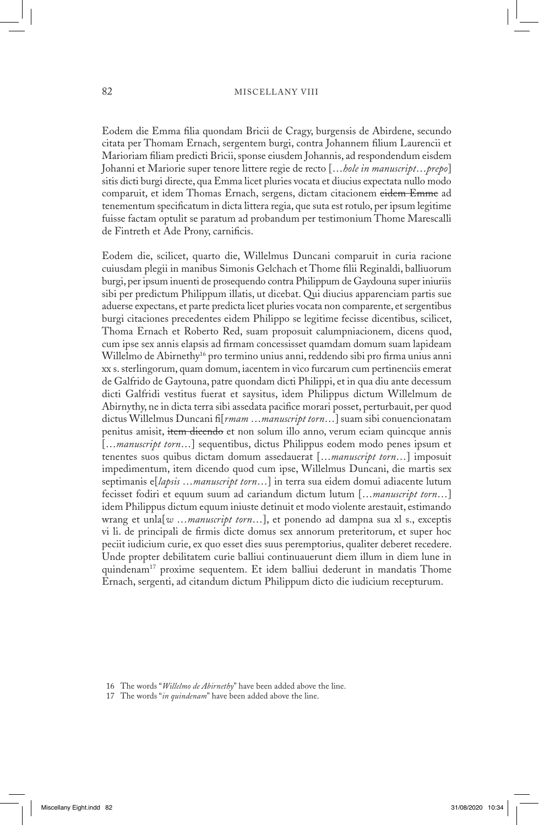Eodem die Emma filia quondam Bricii de Cragy, burgensis de Abirdene, secundo citata per Thomam Ernach, sergentem burgi, contra Johannem filium Laurencii et Marioriam filiam predicti Bricii, sponse eiusdem Johannis, ad respondendum eisdem Johanni et Mariorie super tenore littere regie de recto […*hole in manuscript*…*prepo*] sitis dicti burgi directe, qua Emma licet pluries vocata et diucius expectata nullo modo comparuit, et idem Thomas Ernach, sergens, dictam citacionem eidem Emme ad tenementum specificatum in dicta littera regia, que suta est rotulo, per ipsum legitime fuisse factam optulit se paratum ad probandum per testimonium Thome Marescalli de Fintreth et Ade Prony, carnificis.

Eodem die, scilicet, quarto die, Willelmus Duncani comparuit in curia racione cuiusdam plegii in manibus Simonis Gelchach et Thome filii Reginaldi, balliuorum burgi, per ipsum inuenti de prosequendo contra Philippum de Gaydouna super iniuriis sibi per predictum Philippum illatis, ut dicebat. Qui diucius apparenciam partis sue aduerse expectans, et parte predicta licet pluries vocata non comparente, et sergentibus burgi citaciones precedentes eidem Philippo se legitime fecisse dicentibus, scilicet, Thoma Ernach et Roberto Red, suam proposuit calumpniacionem, dicens quod, cum ipse sex annis elapsis ad firmam concessisset quamdam domum suam lapideam Willelmo de Abirnethy<sup>16</sup> pro termino unius anni, reddendo sibi pro firma unius anni xx s. sterlingorum, quam domum, iacentem in vico furcarum cum pertinenciis emerat de Galfrido de Gaytouna, patre quondam dicti Philippi, et in qua diu ante decessum dicti Galfridi vestitus fuerat et saysitus, idem Philippus dictum Willelmum de Abirnythy, ne in dicta terra sibi assedata pacifice morari posset, perturbauit, per quod dictus Willelmus Duncani fi[*rmam* …*manuscript torn*…] suam sibi conuencionatam penitus amisit, item dicendo et non solum illo anno, verum eciam quincque annis […*manuscript torn*…] sequentibus, dictus Philippus eodem modo penes ipsum et tenentes suos quibus dictam domum assedauerat […*manuscript torn*…] imposuit impedimentum, item dicendo quod cum ipse, Willelmus Duncani, die martis sex septimanis e[*lapsis* …*manuscript torn*…] in terra sua eidem domui adiacente lutum fecisset fodiri et equum suum ad cariandum dictum lutum […*manuscript torn*…] idem Philippus dictum equum iniuste detinuit et modo violente arestauit, estimando wrang et unla[*w* …*manuscript torn*…], et ponendo ad dampna sua xl s., exceptis vi li. de principali de firmis dicte domus sex annorum preteritorum, et super hoc peciit iudicium curie, ex quo esset dies suus peremptorius, qualiter deberet recedere. Unde propter debilitatem curie balliui continuauerunt diem illum in diem lune in quindenam17 proxime sequentem. Et idem balliui dederunt in mandatis Thome Ernach, sergenti, ad citandum dictum Philippum dicto die iudicium recepturum.

<sup>16</sup> The words "*Willelmo de Abirnethy*" have been added above the line.

<sup>17</sup> The words "*in quindenam*" have been added above the line.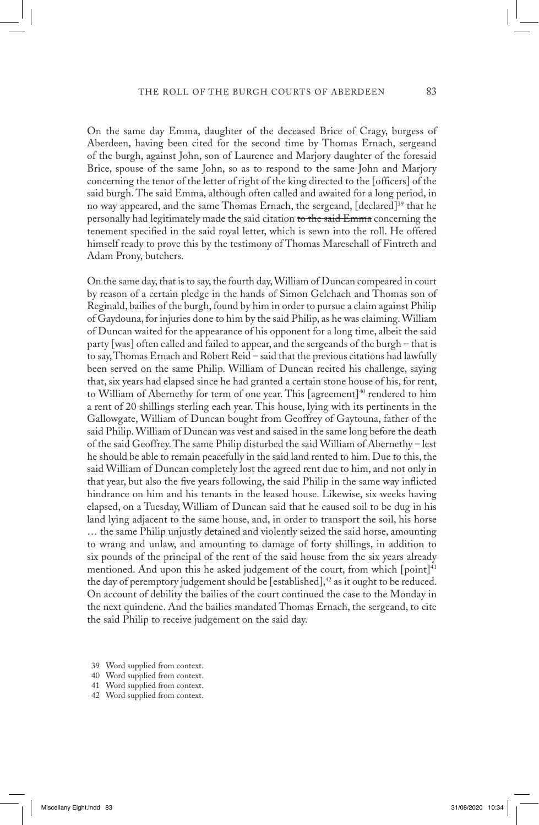On the same day Emma, daughter of the deceased Brice of Cragy, burgess of Aberdeen, having been cited for the second time by Thomas Ernach, sergeand of the burgh, against John, son of Laurence and Marjory daughter of the foresaid Brice, spouse of the same John, so as to respond to the same John and Marjory concerning the tenor of the letter of right of the king directed to the [officers] of the said burgh. The said Emma, although often called and awaited for a long period, in no way appeared, and the same Thomas Ernach, the sergeand, [declared]39 that he personally had legitimately made the said citation to the said Emma concerning the tenement specified in the said royal letter, which is sewn into the roll. He offered himself ready to prove this by the testimony of Thomas Mareschall of Fintreth and Adam Prony, butchers.

On the same day, that is to say, the fourth day, William of Duncan compeared in court by reason of a certain pledge in the hands of Simon Gelchach and Thomas son of Reginald, bailies of the burgh, found by him in order to pursue a claim against Philip of Gaydouna, for injuries done to him by the said Philip, as he was claiming. William of Duncan waited for the appearance of his opponent for a long time, albeit the said party [was] often called and failed to appear, and the sergeands of the burgh – that is to say, Thomas Ernach and Robert Reid – said that the previous citations had lawfully been served on the same Philip. William of Duncan recited his challenge, saying that, six years had elapsed since he had granted a certain stone house of his, for rent, to William of Abernethy for term of one year. This [agreement]<sup>40</sup> rendered to him a rent of 20 shillings sterling each year. This house, lying with its pertinents in the Gallowgate, William of Duncan bought from Geoffrey of Gaytouna, father of the said Philip. William of Duncan was vest and saised in the same long before the death of the said Geoffrey. The same Philip disturbed the said William of Abernethy – lest he should be able to remain peacefully in the said land rented to him. Due to this, the said William of Duncan completely lost the agreed rent due to him, and not only in that year, but also the five years following, the said Philip in the same way inflicted hindrance on him and his tenants in the leased house. Likewise, six weeks having elapsed, on a Tuesday, William of Duncan said that he caused soil to be dug in his land lying adjacent to the same house, and, in order to transport the soil, his horse … the same Philip unjustly detained and violently seized the said horse, amounting to wrang and unlaw, and amounting to damage of forty shillings, in addition to six pounds of the principal of the rent of the said house from the six years already mentioned. And upon this he asked judgement of the court, from which [point]<sup>41</sup> the day of peremptory judgement should be [established], $42$  as it ought to be reduced. On account of debility the bailies of the court continued the case to the Monday in the next quindene. And the bailies mandated Thomas Ernach, the sergeand, to cite the said Philip to receive judgement on the said day.

- 39 Word supplied from context.
- 40 Word supplied from context.
- 41 Word supplied from context.
- 42 Word supplied from context.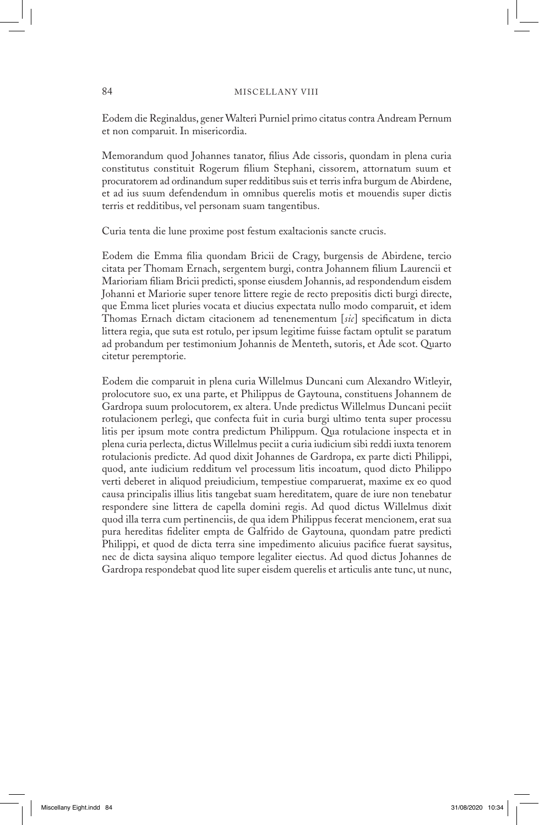Eodem die Reginaldus, gener Walteri Purniel primo citatus contra Andream Pernum et non comparuit. In misericordia.

Memorandum quod Johannes tanator, filius Ade cissoris, quondam in plena curia constitutus constituit Rogerum filium Stephani, cissorem, attornatum suum et procuratorem ad ordinandum super redditibus suis et terris infra burgum de Abirdene, et ad ius suum defendendum in omnibus querelis motis et mouendis super dictis terris et redditibus, vel personam suam tangentibus.

Curia tenta die lune proxime post festum exaltacionis sancte crucis.

Eodem die Emma filia quondam Bricii de Cragy, burgensis de Abirdene, tercio citata per Thomam Ernach, sergentem burgi, contra Johannem filium Laurencii et Marioriam filiam Bricii predicti, sponse eiusdem Johannis, ad respondendum eisdem Johanni et Mariorie super tenore littere regie de recto prepositis dicti burgi directe, que Emma licet pluries vocata et diucius expectata nullo modo comparuit, et idem Thomas Ernach dictam citacionem ad tenenementum [*sic*] specificatum in dicta littera regia, que suta est rotulo, per ipsum legitime fuisse factam optulit se paratum ad probandum per testimonium Johannis de Menteth, sutoris, et Ade scot. Quarto citetur peremptorie.

Eodem die comparuit in plena curia Willelmus Duncani cum Alexandro Witleyir, prolocutore suo, ex una parte, et Philippus de Gaytouna, constituens Johannem de Gardropa suum prolocutorem, ex altera. Unde predictus Willelmus Duncani peciit rotulacionem perlegi, que confecta fuit in curia burgi ultimo tenta super processu litis per ipsum mote contra predictum Philippum. Qua rotulacione inspecta et in plena curia perlecta, dictus Willelmus peciit a curia iudicium sibi reddi iuxta tenorem rotulacionis predicte. Ad quod dixit Johannes de Gardropa, ex parte dicti Philippi, quod, ante iudicium redditum vel processum litis incoatum, quod dicto Philippo verti deberet in aliquod preiudicium, tempestiue comparuerat, maxime ex eo quod causa principalis illius litis tangebat suam hereditatem, quare de iure non tenebatur respondere sine littera de capella domini regis. Ad quod dictus Willelmus dixit quod illa terra cum pertinenciis, de qua idem Philippus fecerat mencionem, erat sua pura hereditas fideliter empta de Galfrido de Gaytouna, quondam patre predicti Philippi, et quod de dicta terra sine impedimento alicuius pacifice fuerat saysitus, nec de dicta saysina aliquo tempore legaliter eiectus. Ad quod dictus Johannes de Gardropa respondebat quod lite super eisdem querelis et articulis ante tunc, ut nunc,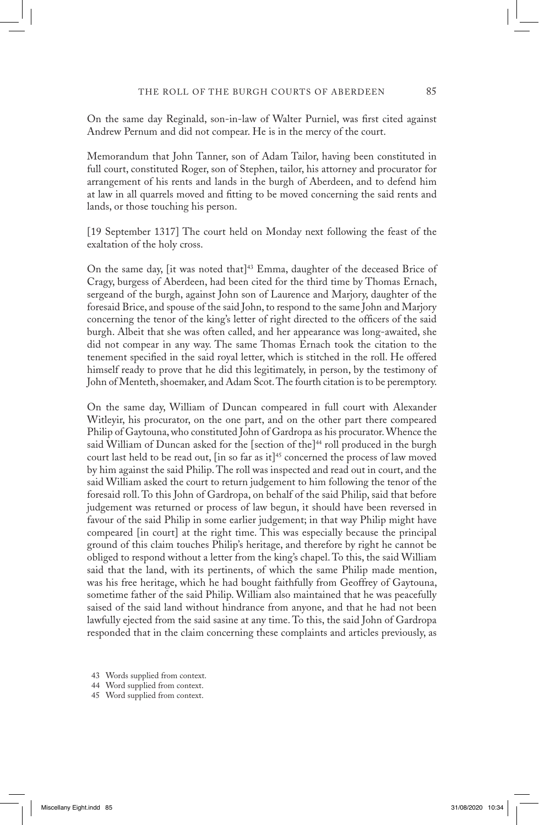On the same day Reginald, son-in-law of Walter Purniel, was first cited against Andrew Pernum and did not compear. He is in the mercy of the court.

Memorandum that John Tanner, son of Adam Tailor, having been constituted in full court, constituted Roger, son of Stephen, tailor, his attorney and procurator for arrangement of his rents and lands in the burgh of Aberdeen, and to defend him at law in all quarrels moved and fitting to be moved concerning the said rents and lands, or those touching his person.

[19 September 1317] The court held on Monday next following the feast of the exaltation of the holy cross.

On the same day, [it was noted that]<sup>43</sup> Emma, daughter of the deceased Brice of Cragy, burgess of Aberdeen, had been cited for the third time by Thomas Ernach, sergeand of the burgh, against John son of Laurence and Marjory, daughter of the foresaid Brice, and spouse of the said John, to respond to the same John and Marjory concerning the tenor of the king's letter of right directed to the officers of the said burgh. Albeit that she was often called, and her appearance was long-awaited, she did not compear in any way. The same Thomas Ernach took the citation to the tenement specified in the said royal letter, which is stitched in the roll. He offered himself ready to prove that he did this legitimately, in person, by the testimony of John of Menteth, shoemaker, and Adam Scot. The fourth citation is to be peremptory.

On the same day, William of Duncan compeared in full court with Alexander Witleyir, his procurator, on the one part, and on the other part there compeared Philip of Gaytouna, who constituted John of Gardropa as his procurator. Whence the said William of Duncan asked for the [section of the]<sup>44</sup> roll produced in the burgh court last held to be read out,  $\left[ \text{in so far as it} \right]$ <sup>45</sup> concerned the process of law moved by him against the said Philip. The roll was inspected and read out in court, and the said William asked the court to return judgement to him following the tenor of the foresaid roll. To this John of Gardropa, on behalf of the said Philip, said that before judgement was returned or process of law begun, it should have been reversed in favour of the said Philip in some earlier judgement; in that way Philip might have compeared [in court] at the right time. This was especially because the principal ground of this claim touches Philip's heritage, and therefore by right he cannot be obliged to respond without a letter from the king's chapel. To this, the said William said that the land, with its pertinents, of which the same Philip made mention, was his free heritage, which he had bought faithfully from Geoffrey of Gaytouna, sometime father of the said Philip. William also maintained that he was peacefully saised of the said land without hindrance from anyone, and that he had not been lawfully ejected from the said sasine at any time. To this, the said John of Gardropa responded that in the claim concerning these complaints and articles previously, as

<sup>43</sup> Words supplied from context.

<sup>44</sup> Word supplied from context.

<sup>45</sup> Word supplied from context.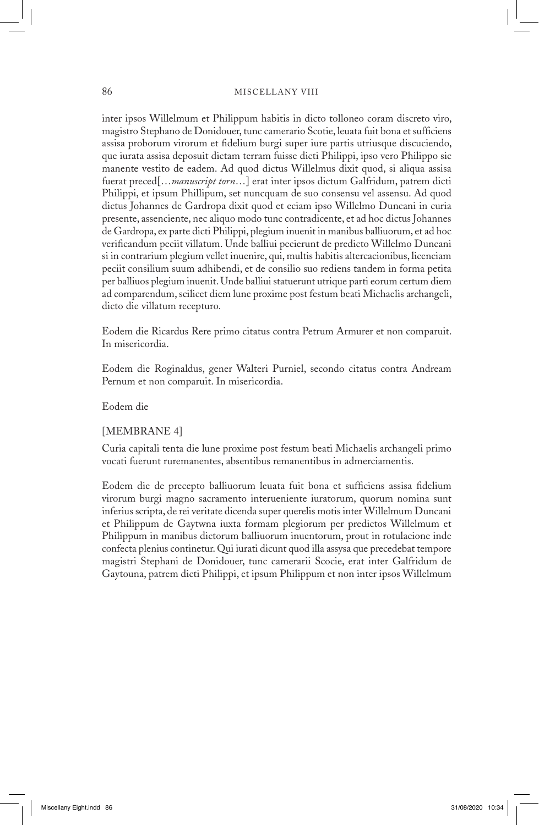#### 86 MISCELLANY VIII

inter ipsos Willelmum et Philippum habitis in dicto tolloneo coram discreto viro, magistro Stephano de Donidouer, tunc camerario Scotie, leuata fuit bona et sufficiens assisa proborum virorum et fidelium burgi super iure partis utriusque discuciendo, que iurata assisa deposuit dictam terram fuisse dicti Philippi, ipso vero Philippo sic manente vestito de eadem. Ad quod dictus Willelmus dixit quod, si aliqua assisa fuerat preced[…*manuscript torn*…] erat inter ipsos dictum Galfridum, patrem dicti Philippi, et ipsum Phillipum, set nuncquam de suo consensu vel assensu. Ad quod dictus Johannes de Gardropa dixit quod et eciam ipso Willelmo Duncani in curia presente, assenciente, nec aliquo modo tunc contradicente, et ad hoc dictus Johannes de Gardropa, ex parte dicti Philippi, plegium inuenit in manibus balliuorum, et ad hoc verificandum peciit villatum. Unde balliui pecierunt de predicto Willelmo Duncani si in contrarium plegium vellet inuenire, qui, multis habitis altercacionibus, licenciam peciit consilium suum adhibendi, et de consilio suo rediens tandem in forma petita per balliuos plegium inuenit. Unde balliui statuerunt utrique parti eorum certum diem ad comparendum, scilicet diem lune proxime post festum beati Michaelis archangeli, dicto die villatum recepturo.

Eodem die Ricardus Rere primo citatus contra Petrum Armurer et non comparuit. In misericordia.

Eodem die Roginaldus, gener Walteri Purniel, secondo citatus contra Andream Pernum et non comparuit. In misericordia.

#### Eodem die

#### [MEMBRANE 4]

Curia capitali tenta die lune proxime post festum beati Michaelis archangeli primo vocati fuerunt ruremanentes, absentibus remanentibus in admerciamentis.

Eodem die de precepto balliuorum leuata fuit bona et sufficiens assisa fidelium virorum burgi magno sacramento interueniente iuratorum, quorum nomina sunt inferius scripta, de rei veritate dicenda super querelis motis inter Willelmum Duncani et Philippum de Gaytwna iuxta formam plegiorum per predictos Willelmum et Philippum in manibus dictorum balliuorum inuentorum, prout in rotulacione inde confecta plenius continetur. Qui iurati dicunt quod illa assysa que precedebat tempore magistri Stephani de Donidouer, tunc camerarii Scocie, erat inter Galfridum de Gaytouna, patrem dicti Philippi, et ipsum Philippum et non inter ipsos Willelmum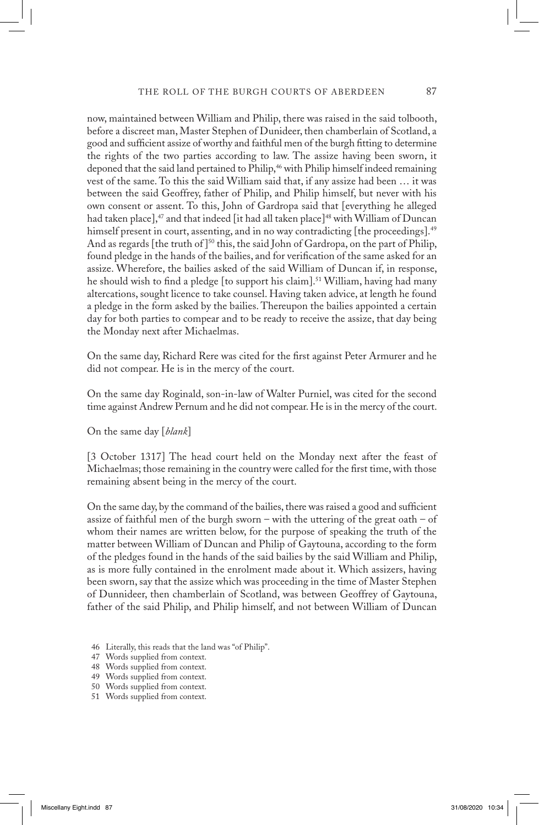now, maintained between William and Philip, there was raised in the said tolbooth, before a discreet man, Master Stephen of Dunideer, then chamberlain of Scotland, a good and sufficient assize of worthy and faithful men of the burgh fitting to determine the rights of the two parties according to law. The assize having been sworn, it deponed that the said land pertained to Philip,<sup>46</sup> with Philip himself indeed remaining vest of the same. To this the said William said that, if any assize had been … it was between the said Geoffrey, father of Philip, and Philip himself, but never with his own consent or assent. To this, John of Gardropa said that [everything he alleged had taken place], $47$  and that indeed [it had all taken place] $48$  with William of Duncan himself present in court, assenting, and in no way contradicting [the proceedings].<sup>49</sup> And as regards [the truth of]<sup>50</sup> this, the said John of Gardropa, on the part of Philip, found pledge in the hands of the bailies, and for verification of the same asked for an assize. Wherefore, the bailies asked of the said William of Duncan if, in response, he should wish to find a pledge [to support his claim].51 William, having had many altercations, sought licence to take counsel. Having taken advice, at length he found a pledge in the form asked by the bailies. Thereupon the bailies appointed a certain day for both parties to compear and to be ready to receive the assize, that day being the Monday next after Michaelmas.

On the same day, Richard Rere was cited for the first against Peter Armurer and he did not compear. He is in the mercy of the court.

On the same day Roginald, son-in-law of Walter Purniel, was cited for the second time against Andrew Pernum and he did not compear. He is in the mercy of the court.

On the same day [*blank*]

[3 October 1317] The head court held on the Monday next after the feast of Michaelmas; those remaining in the country were called for the first time, with those remaining absent being in the mercy of the court.

On the same day, by the command of the bailies, there was raised a good and sufficient assize of faithful men of the burgh sworn – with the uttering of the great oath – of whom their names are written below, for the purpose of speaking the truth of the matter between William of Duncan and Philip of Gaytouna, according to the form of the pledges found in the hands of the said bailies by the said William and Philip, as is more fully contained in the enrolment made about it. Which assizers, having been sworn, say that the assize which was proceeding in the time of Master Stephen of Dunnideer, then chamberlain of Scotland, was between Geoffrey of Gaytouna, father of the said Philip, and Philip himself, and not between William of Duncan

- 46 Literally, this reads that the land was "of Philip".
- 47 Words supplied from context.
- 48 Words supplied from context.
- 49 Words supplied from context.
- 50 Words supplied from context.
- 51 Words supplied from context.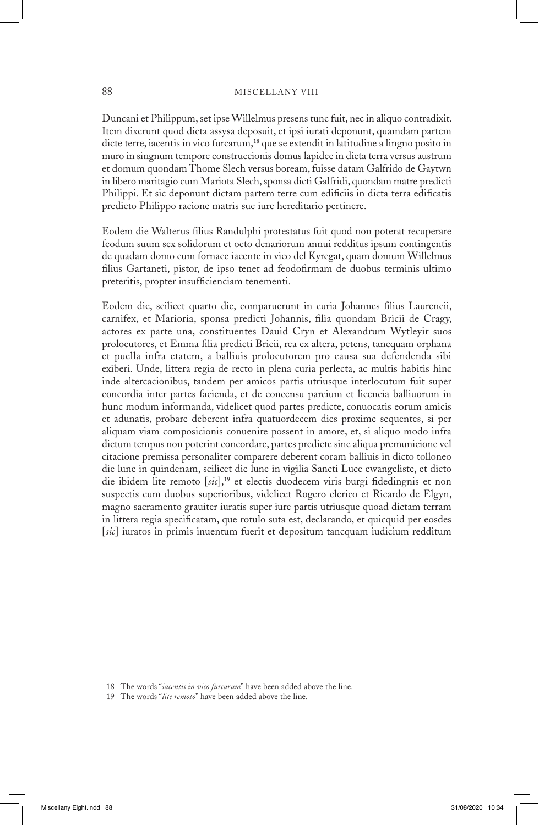#### 88 MISCELLANY VIII

Duncani et Philippum, set ipse Willelmus presens tunc fuit, nec in aliquo contradixit. Item dixerunt quod dicta assysa deposuit, et ipsi iurati deponunt, quamdam partem dicte terre, iacentis in vico furcarum,<sup>18</sup> que se extendit in latitudine a lingno posito in muro in singnum tempore construccionis domus lapidee in dicta terra versus austrum et domum quondam Thome Slech versus boream, fuisse datam Galfrido de Gaytwn in libero maritagio cum Mariota Slech, sponsa dicti Galfridi, quondam matre predicti Philippi. Et sic deponunt dictam partem terre cum edificiis in dicta terra edificatis predicto Philippo racione matris sue iure hereditario pertinere.

Eodem die Walterus filius Randulphi protestatus fuit quod non poterat recuperare feodum suum sex solidorum et octo denariorum annui redditus ipsum contingentis de quadam domo cum fornace iacente in vico del Kyrcgat, quam domum Willelmus filius Gartaneti, pistor, de ipso tenet ad feodofirmam de duobus terminis ultimo preteritis, propter insufficienciam tenementi.

Eodem die, scilicet quarto die, comparuerunt in curia Johannes filius Laurencii, carnifex, et Marioria, sponsa predicti Johannis, filia quondam Bricii de Cragy, actores ex parte una, constituentes Dauid Cryn et Alexandrum Wytleyir suos prolocutores, et Emma filia predicti Bricii, rea ex altera, petens, tancquam orphana et puella infra etatem, a balliuis prolocutorem pro causa sua defendenda sibi exiberi. Unde, littera regia de recto in plena curia perlecta, ac multis habitis hinc inde altercacionibus, tandem per amicos partis utriusque interlocutum fuit super concordia inter partes facienda, et de concensu parcium et licencia balliuorum in hunc modum informanda, videlicet quod partes predicte, conuocatis eorum amicis et adunatis, probare deberent infra quatuordecem dies proxime sequentes, si per aliquam viam composicionis conuenire possent in amore, et, si aliquo modo infra dictum tempus non poterint concordare, partes predicte sine aliqua premunicione vel citacione premissa personaliter comparere deberent coram balliuis in dicto tolloneo die lune in quindenam, scilicet die lune in vigilia Sancti Luce ewangeliste, et dicto die ibidem lite remoto [*sic*],19 et electis duodecem viris burgi fidedingnis et non suspectis cum duobus superioribus, videlicet Rogero clerico et Ricardo de Elgyn, magno sacramento grauiter iuratis super iure partis utriusque quoad dictam terram in littera regia specificatam, que rotulo suta est, declarando, et quicquid per eosdes [*sic*] iuratos in primis inuentum fuerit et depositum tancquam iudicium redditum

<sup>18</sup> The words "*iacentis in vico furcarum*" have been added above the line.

<sup>19</sup> The words "*lite remoto*" have been added above the line.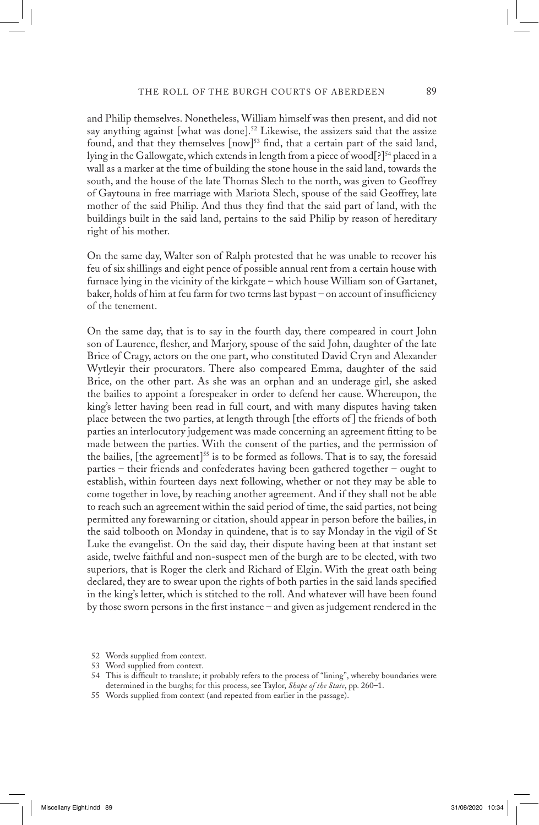and Philip themselves. Nonetheless, William himself was then present, and did not say anything against [what was done].<sup>52</sup> Likewise, the assizers said that the assize found, and that they themselves [now]<sup>53</sup> find, that a certain part of the said land, lying in the Gallowgate, which extends in length from a piece of wood[?]<sup>54</sup> placed in a wall as a marker at the time of building the stone house in the said land, towards the south, and the house of the late Thomas Slech to the north, was given to Geoffrey of Gaytouna in free marriage with Mariota Slech, spouse of the said Geoffrey, late mother of the said Philip. And thus they find that the said part of land, with the buildings built in the said land, pertains to the said Philip by reason of hereditary right of his mother.

On the same day, Walter son of Ralph protested that he was unable to recover his feu of six shillings and eight pence of possible annual rent from a certain house with furnace lying in the vicinity of the kirkgate – which house William son of Gartanet, baker, holds of him at feu farm for two terms last bypast – on account of insufficiency of the tenement.

On the same day, that is to say in the fourth day, there compeared in court John son of Laurence, flesher, and Marjory, spouse of the said John, daughter of the late Brice of Cragy, actors on the one part, who constituted David Cryn and Alexander Wytleyir their procurators. There also compeared Emma, daughter of the said Brice, on the other part. As she was an orphan and an underage girl, she asked the bailies to appoint a forespeaker in order to defend her cause. Whereupon, the king's letter having been read in full court, and with many disputes having taken place between the two parties, at length through [the efforts of ] the friends of both parties an interlocutory judgement was made concerning an agreement fitting to be made between the parties. With the consent of the parties, and the permission of the bailies, [the agreement]<sup>55</sup> is to be formed as follows. That is to say, the foresaid parties – their friends and confederates having been gathered together – ought to establish, within fourteen days next following, whether or not they may be able to come together in love, by reaching another agreement. And if they shall not be able to reach such an agreement within the said period of time, the said parties, not being permitted any forewarning or citation, should appear in person before the bailies, in the said tolbooth on Monday in quindene, that is to say Monday in the vigil of St Luke the evangelist. On the said day, their dispute having been at that instant set aside, twelve faithful and non-suspect men of the burgh are to be elected, with two superiors, that is Roger the clerk and Richard of Elgin. With the great oath being declared, they are to swear upon the rights of both parties in the said lands specified in the king's letter, which is stitched to the roll. And whatever will have been found by those sworn persons in the first instance – and given as judgement rendered in the

<sup>52</sup> Words supplied from context.

<sup>53</sup> Word supplied from context.

<sup>54</sup> This is difficult to translate; it probably refers to the process of "lining", whereby boundaries were determined in the burghs; for this process, see Taylor, *Shape of the State*, pp. 260–1.

<sup>55</sup> Words supplied from context (and repeated from earlier in the passage).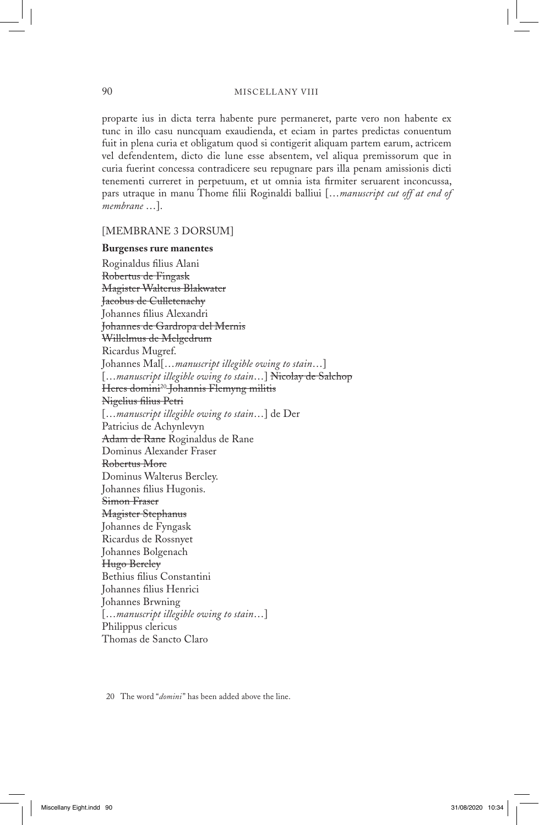proparte ius in dicta terra habente pure permaneret, parte vero non habente ex tunc in illo casu nuncquam exaudienda, et eciam in partes predictas conuentum fuit in plena curia et obligatum quod si contigerit aliquam partem earum, actricem vel defendentem, dicto die lune esse absentem, vel aliqua premissorum que in curia fuerint concessa contradicere seu repugnare pars illa penam amissionis dicti tenementi curreret in perpetuum, et ut omnia ista firmiter seruarent inconcussa, pars utraque in manu Thome filii Roginaldi balliui […*manuscript cut off at end of membrane* …].

## [MEMBRANE 3 DORSUM]

#### **Burgenses rure manentes**

Roginaldus filius Alani Robertus de Fingask Magister Walterus Blakwater Jacobus de Culletenachy Johannes filius Alexandri Johannes de Gardropa del Mernis Willelmus de Melgedrum Ricardus Mugref. Johannes Mal[…*manuscript illegible owing to stain*…] […*manuscript illegible owing to stain*…] Nicolay de Salchop Heres domini20 Johannis Flemyng militis Nigelius filius Petri […*manuscript illegible owing to stain*…] de Der Patricius de Achynlevyn Adam de Rane Roginaldus de Rane Dominus Alexander Fraser Robertus More Dominus Walterus Bercley. Johannes filius Hugonis. Simon Fraser Magister Stephanus Johannes de Fyngask Ricardus de Rossnyet Johannes Bolgenach Hugo Bercley Bethius filius Constantini Johannes filius Henrici Johannes Brwning […*manuscript illegible owing to stain*…] Philippus clericus Thomas de Sancto Claro

20 The word "*domini*" has been added above the line.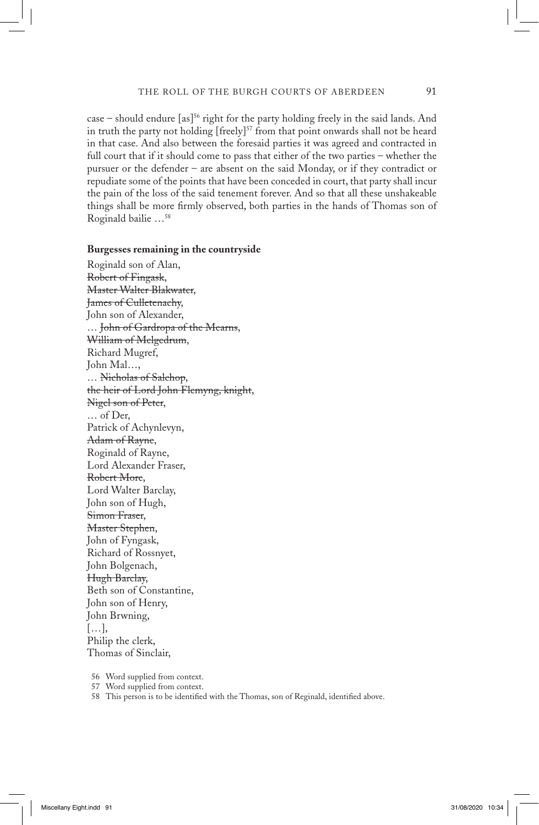case – should endure  $[as]^{56}$  right for the party holding freely in the said lands. And in truth the party not holding [freely]<sup>57</sup> from that point onwards shall not be heard in that case. And also between the foresaid parties it was agreed and contracted in full court that if it should come to pass that either of the two parties – whether the pursuer or the defender – are absent on the said Monday, or if they contradict or repudiate some of the points that have been conceded in court, that party shall incur the pain of the loss of the said tenement forever. And so that all these unshakeable things shall be more firmly observed, both parties in the hands of Thomas son of Roginald bailie …58

#### **Burgesses remaining in the countryside**

Roginald son of Alan, Robert of Fingask, Master Walter Blakwater, James of Culletenachy, John son of Alexander, … John of Gardropa of the Mearns, William of Melgedrum, Richard Mugref, John Mal…, … Nicholas of Salchop, the heir of Lord John Flemyng, knight, Nigel son of Peter, … of Der, Patrick of Achynlevyn, Adam of Rayne, Roginald of Rayne, Lord Alexander Fraser, Robert More, Lord Walter Barclay, John son of Hugh, Simon Fraser, Master Stephen, John of Fyngask, Richard of Rossnyet, John Bolgenach, Hugh Barclay, Beth son of Constantine, John son of Henry, John Brwning, […], Philip the clerk, Thomas of Sinclair,

56 Word supplied from context.

57 Word supplied from context.

58 This person is to be identified with the Thomas, son of Reginald, identified above.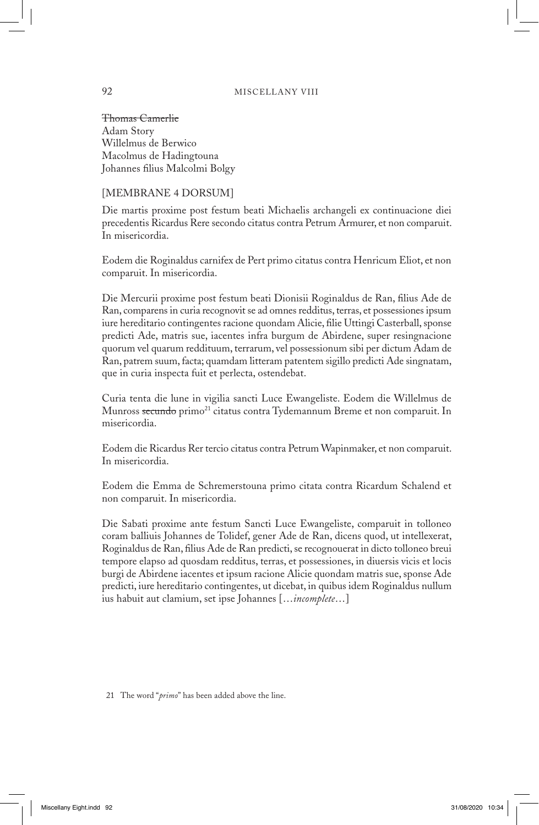Thomas Camerlie Adam Story Willelmus de Berwico Macolmus de Hadingtouna Johannes filius Malcolmi Bolgy

### [MEMBRANE 4 DORSUM]

Die martis proxime post festum beati Michaelis archangeli ex continuacione diei precedentis Ricardus Rere secondo citatus contra Petrum Armurer, et non comparuit. In misericordia.

Eodem die Roginaldus carnifex de Pert primo citatus contra Henricum Eliot, et non comparuit. In misericordia.

Die Mercurii proxime post festum beati Dionisii Roginaldus de Ran, filius Ade de Ran, comparens in curia recognovit se ad omnes redditus, terras, et possessiones ipsum iure hereditario contingentes racione quondam Alicie, filie Uttingi Casterball, sponse predicti Ade, matris sue, iacentes infra burgum de Abirdene, super resingnacione quorum vel quarum reddituum, terrarum, vel possessionum sibi per dictum Adam de Ran, patrem suum, facta; quamdam litteram patentem sigillo predicti Ade singnatam, que in curia inspecta fuit et perlecta, ostendebat.

Curia tenta die lune in vigilia sancti Luce Ewangeliste. Eodem die Willelmus de Munross secundo primo<sup>21</sup> citatus contra Tydemannum Breme et non comparuit. In misericordia.

Eodem die Ricardus Rer tercio citatus contra Petrum Wapinmaker, et non comparuit. In misericordia.

Eodem die Emma de Schremerstouna primo citata contra Ricardum Schalend et non comparuit. In misericordia.

Die Sabati proxime ante festum Sancti Luce Ewangeliste, comparuit in tolloneo coram balliuis Johannes de Tolidef, gener Ade de Ran, dicens quod, ut intellexerat, Roginaldus de Ran, filius Ade de Ran predicti, se recognouerat in dicto tolloneo breui tempore elapso ad quosdam redditus, terras, et possessiones, in diuersis vicis et locis burgi de Abirdene iacentes et ipsum racione Alicie quondam matris sue, sponse Ade predicti, iure hereditario contingentes, ut dicebat, in quibus idem Roginaldus nullum ius habuit aut clamium, set ipse Johannes […*incomplete*…]

21 The word "*primo*" has been added above the line.